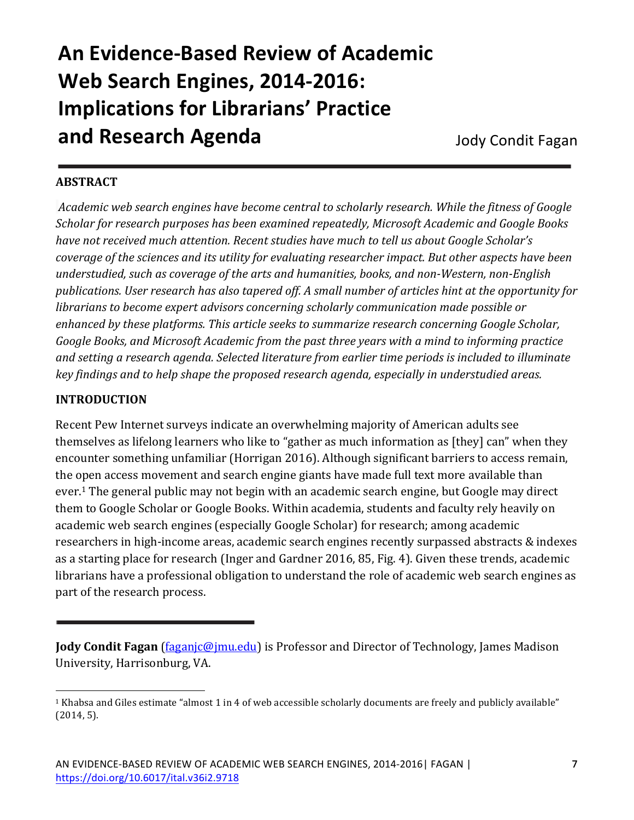# **An Evidence-Based Review of Academic Web Search Engines, 2014-2016: Implications for Librarians' Practice and Research Agenda** *Jody Condit Fagan*

#### **ABSTRACT**

*Academic* web search engines have become central to scholarly research. While the fitness of Google Scholar for research purposes has been examined repeatedly, Microsoft Academic and Google Books have not received much attention. Recent studies have much to tell us about Google Scholar's *coverage of the sciences and its utility for evaluating researcher impact. But other aspects have been* understudied, such as coverage of the arts and humanities, books, and non-Western, non-English publications. User research has also tapered off. A small number of articles hint at the opportunity for *librarians to become expert advisors concerning scholarly communication made possible or enhanced by these platforms. This article seeks to summarize research concerning Google Scholar, Google Books, and Microsoft Academic from the past three years with a mind to informing practice* and setting a research agenda. Selected literature from earlier time periods is included to illuminate key findings and to help shape the proposed research agenda, especially in understudied areas.

#### **INTRODUCTION**

 

Recent Pew Internet surveys indicate an overwhelming majority of American adults see themselves as lifelong learners who like to "gather as much information as [they] can" when they encounter something unfamiliar (Horrigan 2016). Although significant barriers to access remain, the open access movement and search engine giants have made full text more available than ever.<sup>1</sup> The general public may not begin with an academic search engine, but Google may direct them to Google Scholar or Google Books. Within academia, students and faculty rely heavily on academic web search engines (especially Google Scholar) for research; among academic researchers in high-income areas, academic search engines recently surpassed abstracts & indexes as a starting place for research (Inger and Gardner 2016, 85, Fig. 4). Given these trends, academic librarians have a professional obligation to understand the role of academic web search engines as part of the research process.

**Jody Condit Fagan** (faganjc@jmu.edu) is Professor and Director of Technology, James Madison University, Harrisonburg, VA.

 $1$  Khabsa and Giles estimate "almost 1 in 4 of web accessible scholarly documents are freely and publicly available"  $(2014, 5)$ .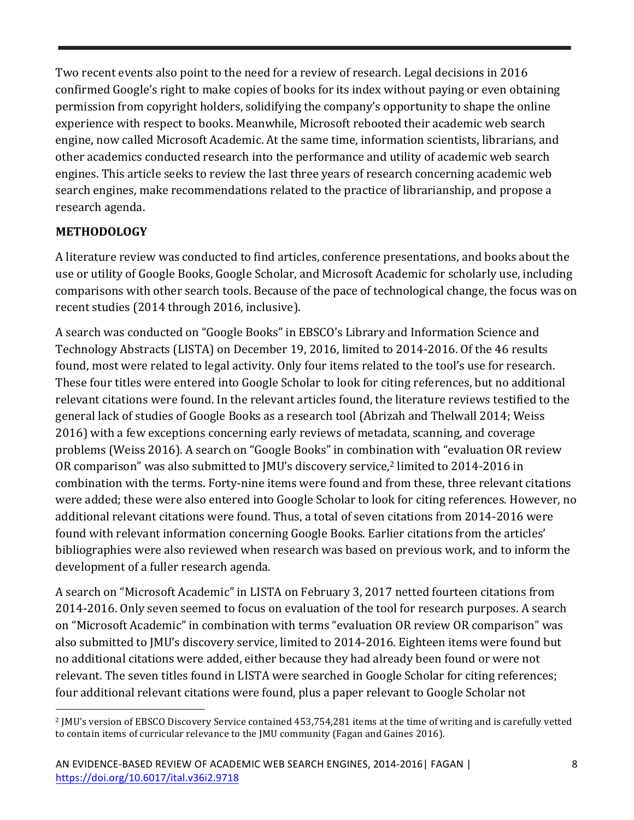Two recent events also point to the need for a review of research. Legal decisions in 2016 confirmed Google's right to make copies of books for its index without paying or even obtaining permission from copyright holders, solidifying the company's opportunity to shape the online experience with respect to books. Meanwhile, Microsoft rebooted their academic web search engine, now called Microsoft Academic. At the same time, information scientists, librarians, and other academics conducted research into the performance and utility of academic web search engines. This article seeks to review the last three years of research concerning academic web search engines, make recommendations related to the practice of librarianship, and propose a research agenda.

## **METHODOLOGY**

<u> 1989 - Johann Barn, mars ann an t-Amhain an t-Amhain an t-Amhain an t-Amhain an t-Amhain an t-Amhain an t-Amh</u>

A literature review was conducted to find articles, conference presentations, and books about the use or utility of Google Books, Google Scholar, and Microsoft Academic for scholarly use, including comparisons with other search tools. Because of the pace of technological change, the focus was on recent studies (2014 through 2016, inclusive).

A search was conducted on "Google Books" in EBSCO's Library and Information Science and Technology Abstracts (LISTA) on December 19, 2016, limited to 2014-2016. Of the 46 results found, most were related to legal activity. Only four items related to the tool's use for research. These four titles were entered into Google Scholar to look for citing references, but no additional relevant citations were found. In the relevant articles found, the literature reviews testified to the general lack of studies of Google Books as a research tool (Abrizah and Thelwall 2014; Weiss 2016) with a few exceptions concerning early reviews of metadata, scanning, and coverage problems (Weiss 2016). A search on "Google Books" in combination with "evaluation OR review OR comparison" was also submitted to JMU's discovery service,<sup>2</sup> limited to 2014-2016 in combination with the terms. Forty-nine items were found and from these, three relevant citations were added; these were also entered into Google Scholar to look for citing references. However, no additional relevant citations were found. Thus, a total of seven citations from 2014-2016 were found with relevant information concerning Google Books. Earlier citations from the articles' bibliographies were also reviewed when research was based on previous work, and to inform the development of a fuller research agenda.

A search on "Microsoft Academic" in LISTA on February 3, 2017 netted fourteen citations from 2014-2016. Only seven seemed to focus on evaluation of the tool for research purposes. A search on "Microsoft Academic" in combination with terms "evaluation OR review OR comparison" was also submitted to JMU's discovery service, limited to 2014-2016. Eighteen items were found but no additional citations were added, either because they had already been found or were not relevant. The seven titles found in LISTA were searched in Google Scholar for citing references; four additional relevant citations were found, plus a paper relevant to Google Scholar not

 $<sup>2</sup>$  [MU's version of EBSCO Discovery Service contained 453,754,281 items at the time of writing and is carefully vetted</sup> to contain items of curricular relevance to the JMU community (Fagan and Gaines 2016).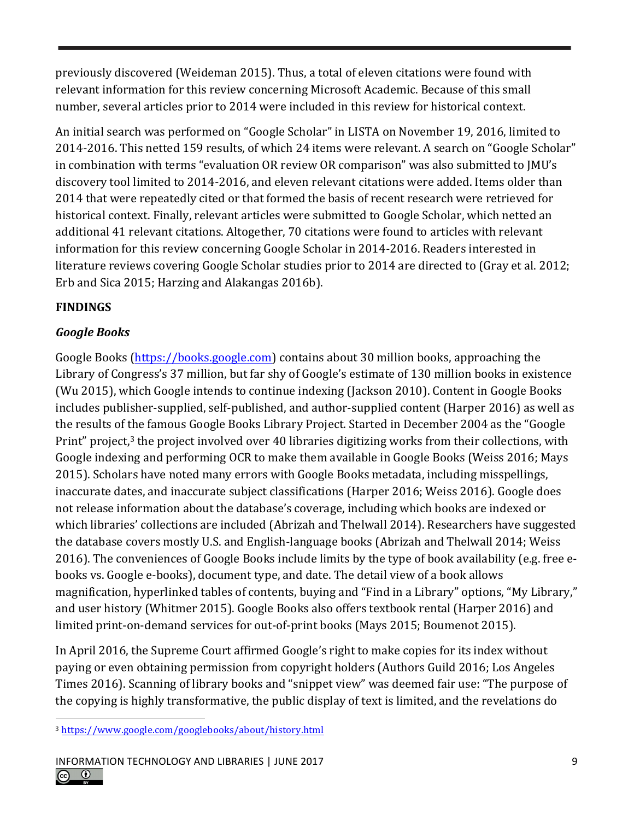previously discovered (Weideman 2015). Thus, a total of eleven citations were found with relevant information for this review concerning Microsoft Academic. Because of this small number, several articles prior to 2014 were included in this review for historical context.

An initial search was performed on "Google Scholar" in LISTA on November 19, 2016, limited to 2014-2016. This netted 159 results, of which 24 items were relevant. A search on "Google Scholar" in combination with terms "evaluation OR review OR comparison" was also submitted to JMU's discovery tool limited to 2014-2016, and eleven relevant citations were added. Items older than 2014 that were repeatedly cited or that formed the basis of recent research were retrieved for historical context. Finally, relevant articles were submitted to Google Scholar, which netted an additional 41 relevant citations. Altogether, 70 citations were found to articles with relevant information for this review concerning Google Scholar in 2014-2016. Readers interested in literature reviews covering Google Scholar studies prior to 2014 are directed to (Gray et al. 2012; Erb and Sica 2015; Harzing and Alakangas 2016b).

## **FINDINGS**

## *Google Books*

Google Books (https://books.google.com) contains about 30 million books, approaching the Library of Congress's 37 million, but far shy of Google's estimate of 130 million books in existence (Wu 2015), which Google intends to continue indexing (Jackson 2010). Content in Google Books includes publisher-supplied, self-published, and author-supplied content (Harper 2016) as well as the results of the famous Google Books Library Project. Started in December 2004 as the "Google Print" project, $3$  the project involved over 40 libraries digitizing works from their collections, with Google indexing and performing OCR to make them available in Google Books (Weiss 2016; Mays 2015). Scholars have noted many errors with Google Books metadata, including misspellings, inaccurate dates, and inaccurate subject classifications (Harper 2016; Weiss 2016). Google does not release information about the database's coverage, including which books are indexed or which libraries' collections are included (Abrizah and Thelwall 2014). Researchers have suggested the database covers mostly U.S. and English-language books (Abrizah and Thelwall 2014; Weiss 2016). The conveniences of Google Books include limits by the type of book availability (e.g. free ebooks vs. Google e-books), document type, and date. The detail view of a book allows magnification, hyperlinked tables of contents, buying and "Find in a Library" options, "My Library," and user history (Whitmer 2015). Google Books also offers textbook rental (Harper 2016) and limited print-on-demand services for out-of-print books (Mays 2015; Boumenot 2015).

In April 2016, the Supreme Court affirmed Google's right to make copies for its index without paying or even obtaining permission from copyright holders (Authors Guild 2016; Los Angeles Times 2016). Scanning of library books and "snippet view" was deemed fair use: "The purpose of the copying is highly transformative, the public display of text is limited, and the revelations do

<sup>3</sup> https://www.google.com/googlebooks/about/history.html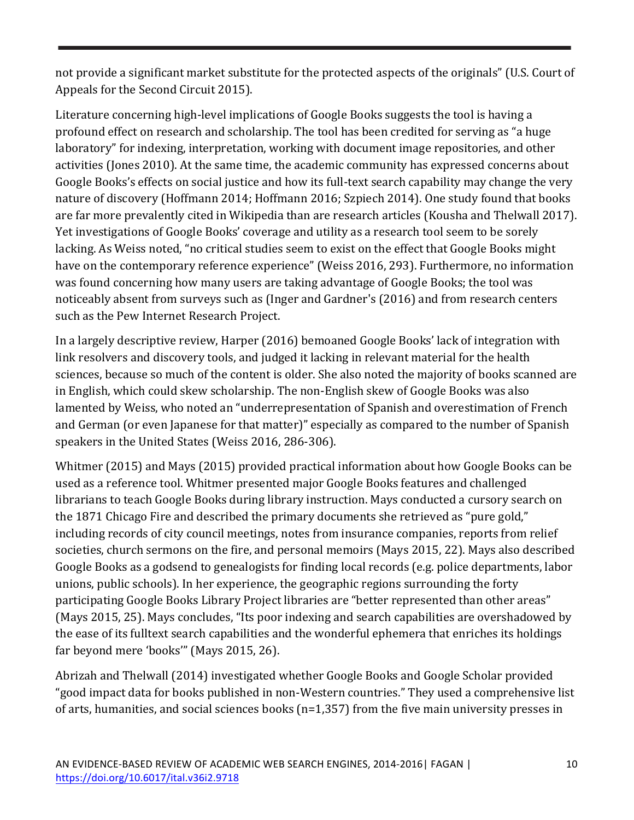not provide a significant market substitute for the protected aspects of the originals" (U.S. Court of Appeals for the Second Circuit 2015).

Literature concerning high-level implications of Google Books suggests the tool is having a profound effect on research and scholarship. The tool has been credited for serving as "a huge laboratory" for indexing, interpretation, working with document image repositories, and other activities (Jones 2010). At the same time, the academic community has expressed concerns about Google Books's effects on social justice and how its full-text search capability may change the very nature of discovery (Hoffmann 2014; Hoffmann 2016; Szpiech 2014). One study found that books are far more prevalently cited in Wikipedia than are research articles (Kousha and Thelwall 2017). Yet investigations of Google Books' coverage and utility as a research tool seem to be sorely lacking. As Weiss noted, "no critical studies seem to exist on the effect that Google Books might have on the contemporary reference experience" (Weiss 2016, 293). Furthermore, no information was found concerning how many users are taking advantage of Google Books; the tool was noticeably absent from surveys such as (Inger and Gardner's (2016) and from research centers such as the Pew Internet Research Project.

In a largely descriptive review, Harper (2016) bemoaned Google Books' lack of integration with link resolvers and discovery tools, and judged it lacking in relevant material for the health sciences, because so much of the content is older. She also noted the majority of books scanned are in English, which could skew scholarship. The non-English skew of Google Books was also lamented by Weiss, who noted an "underrepresentation of Spanish and overestimation of French and German (or even Japanese for that matter)" especially as compared to the number of Spanish speakers in the United States (Weiss 2016, 286-306).

Whitmer (2015) and Mays (2015) provided practical information about how Google Books can be used as a reference tool. Whitmer presented major Google Books features and challenged librarians to teach Google Books during library instruction. Mays conducted a cursory search on the 1871 Chicago Fire and described the primary documents she retrieved as "pure gold," including records of city council meetings, notes from insurance companies, reports from relief societies, church sermons on the fire, and personal memoirs (Mays 2015, 22). Mays also described Google Books as a godsend to genealogists for finding local records (e.g. police departments, labor unions, public schools). In her experience, the geographic regions surrounding the forty participating Google Books Library Project libraries are "better represented than other areas" (Mays 2015, 25). Mays concludes, "Its poor indexing and search capabilities are overshadowed by the ease of its fulltext search capabilities and the wonderful ephemera that enriches its holdings far beyond mere 'books'" (Mays 2015, 26).

Abrizah and Thelwall (2014) investigated whether Google Books and Google Scholar provided " good impact data for books published in non-Western countries." They used a comprehensive list of arts, humanities, and social sciences books  $(n=1,357)$  from the five main university presses in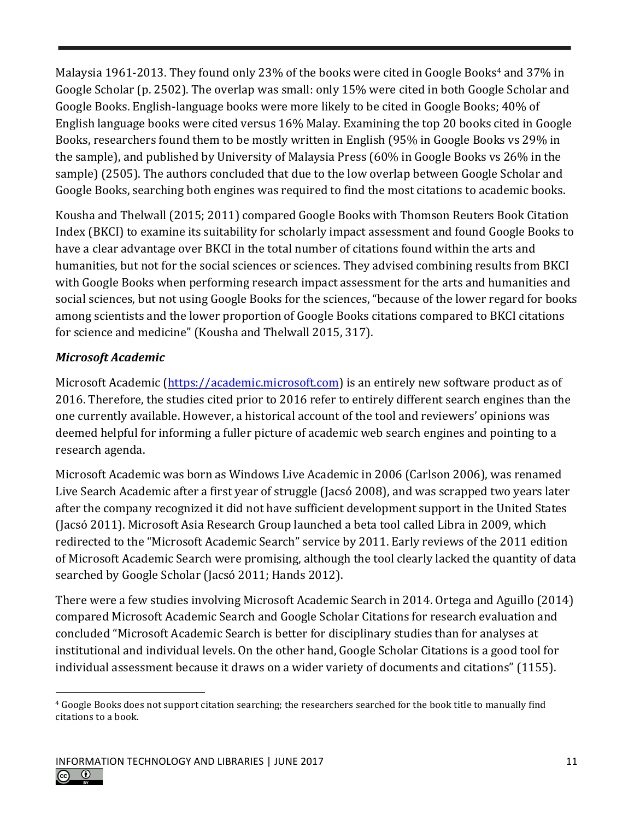Malaysia 1961-2013. They found only 23% of the books were cited in Google Books<sup>4</sup> and 37% in Google Scholar (p. 2502). The overlap was small: only 15% were cited in both Google Scholar and Google Books. English-language books were more likely to be cited in Google Books; 40% of English language books were cited versus 16% Malay. Examining the top 20 books cited in Google Books, researchers found them to be mostly written in English (95% in Google Books vs 29% in the sample), and published by University of Malaysia Press (60% in Google Books vs 26% in the sample) (2505). The authors concluded that due to the low overlap between Google Scholar and Google Books, searching both engines was required to find the most citations to academic books.

Kousha and Thelwall (2015; 2011) compared Google Books with Thomson Reuters Book Citation Index (BKCI) to examine its suitability for scholarly impact assessment and found Google Books to have a clear advantage over BKCI in the total number of citations found within the arts and humanities, but not for the social sciences or sciences. They advised combining results from BKCI with Google Books when performing research impact assessment for the arts and humanities and social sciences, but not using Google Books for the sciences, "because of the lower regard for books among scientists and the lower proportion of Google Books citations compared to BKCI citations for science and medicine" (Kousha and Thelwall 2015, 317).

## *Microsoft Academic*

Microsoft Academic (https://academic.microsoft.com) is an entirely new software product as of 2016. Therefore, the studies cited prior to 2016 refer to entirely different search engines than the one currently available. However, a historical account of the tool and reviewers' opinions was deemed helpful for informing a fuller picture of academic web search engines and pointing to a research agenda.

Microsoft Academic was born as Windows Live Academic in 2006 (Carlson 2006), was renamed Live Search Academic after a first year of struggle (Jacsó 2008), and was scrapped two years later after the company recognized it did not have sufficient development support in the United States (Jacsó 2011). Microsoft Asia Research Group launched a beta tool called Libra in 2009, which redirected to the "Microsoft Academic Search" service by 2011. Early reviews of the 2011 edition of Microsoft Academic Search were promising, although the tool clearly lacked the quantity of data searched by Google Scholar (Jacsó 2011; Hands 2012).

There were a few studies involving Microsoft Academic Search in 2014. Ortega and Aguillo (2014) compared Microsoft Academic Search and Google Scholar Citations for research evaluation and concluded "Microsoft Academic Search is better for disciplinary studies than for analyses at institutional and individual levels. On the other hand, Google Scholar Citations is a good tool for individual assessment because it draws on a wider variety of documents and citations" (1155).

<sup>&</sup>lt;sup>4</sup> Google Books does not support citation searching; the researchers searched for the book title to manually find citations to a book.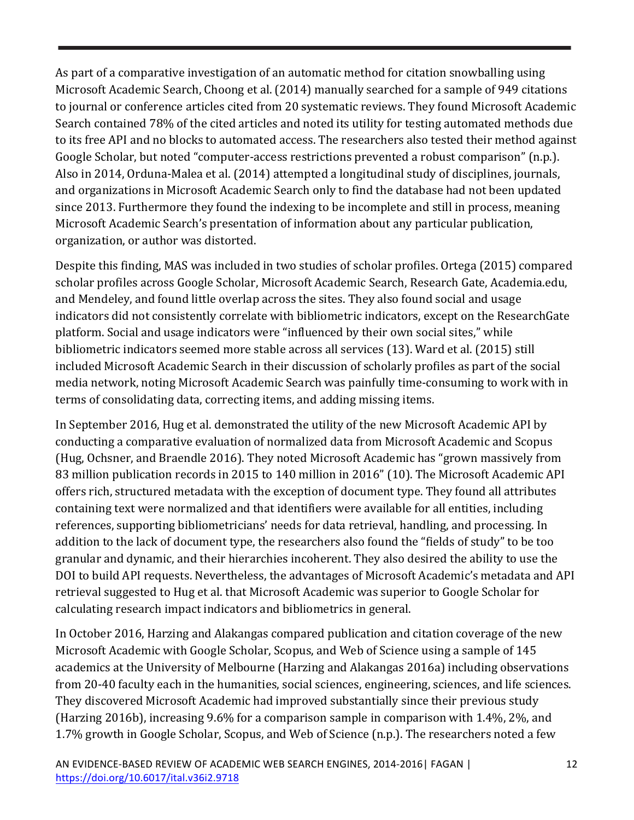As part of a comparative investigation of an automatic method for citation snowballing using Microsoft Academic Search, Choong et al. (2014) manually searched for a sample of 949 citations to journal or conference articles cited from 20 systematic reviews. They found Microsoft Academic Search contained 78% of the cited articles and noted its utility for testing automated methods due to its free API and no blocks to automated access. The researchers also tested their method against Google Scholar, but noted "computer-access restrictions prevented a robust comparison" (n.p.). Also in 2014, Orduna-Malea et al. (2014) attempted a longitudinal study of disciplines, journals, and organizations in Microsoft Academic Search only to find the database had not been updated since 2013. Furthermore they found the indexing to be incomplete and still in process, meaning Microsoft Academic Search's presentation of information about any particular publication, organization, or author was distorted.

Despite this finding, MAS was included in two studies of scholar profiles. Ortega (2015) compared scholar profiles across Google Scholar, Microsoft Academic Search, Research Gate, Academia.edu, and Mendeley, and found little overlap across the sites. They also found social and usage indicators did not consistently correlate with bibliometric indicators, except on the ResearchGate platform. Social and usage indicators were "influenced by their own social sites," while bibliometric indicators seemed more stable across all services (13). Ward et al. (2015) still included Microsoft Academic Search in their discussion of scholarly profiles as part of the social media network, noting Microsoft Academic Search was painfully time-consuming to work with in terms of consolidating data, correcting items, and adding missing items.

In September 2016, Hug et al. demonstrated the utility of the new Microsoft Academic API by conducting a comparative evaluation of normalized data from Microsoft Academic and Scopus (Hug, Ochsner, and Braendle 2016). They noted Microsoft Academic has "grown massively from 83 million publication records in 2015 to 140 million in 2016" (10). The Microsoft Academic API offers rich, structured metadata with the exception of document type. They found all attributes containing text were normalized and that identifiers were available for all entities, including references, supporting bibliometricians' needs for data retrieval, handling, and processing. In addition to the lack of document type, the researchers also found the "fields of study" to be too granular and dynamic, and their hierarchies incoherent. They also desired the ability to use the DOI to build API requests. Nevertheless, the advantages of Microsoft Academic's metadata and API retrieval suggested to Hug et al. that Microsoft Academic was superior to Google Scholar for calculating research impact indicators and bibliometrics in general.

In October 2016, Harzing and Alakangas compared publication and citation coverage of the new Microsoft Academic with Google Scholar, Scopus, and Web of Science using a sample of 145 academics at the University of Melbourne (Harzing and Alakangas 2016a) including observations from 20-40 faculty each in the humanities, social sciences, engineering, sciences, and life sciences. They discovered Microsoft Academic had improved substantially since their previous study (Harzing 2016b), increasing 9.6% for a comparison sample in comparison with 1.4%, 2%, and 1.7% growth in Google Scholar, Scopus, and Web of Science (n.p.). The researchers noted a few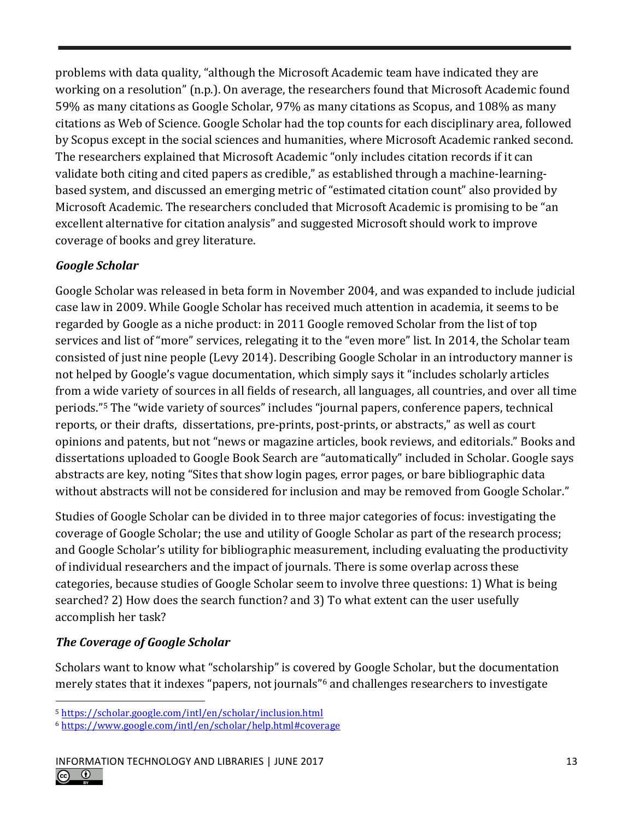problems with data quality, "although the Microsoft Academic team have indicated they are working on a resolution" (n.p.). On average, the researchers found that Microsoft Academic found 59% as many citations as Google Scholar, 97% as many citations as Scopus, and 108% as many citations as Web of Science. Google Scholar had the top counts for each disciplinary area, followed by Scopus except in the social sciences and humanities, where Microsoft Academic ranked second. The researchers explained that Microsoft Academic "only includes citation records if it can validate both citing and cited papers as credible," as established through a machine-learningbased system, and discussed an emerging metric of "estimated citation count" also provided by Microsoft Academic. The researchers concluded that Microsoft Academic is promising to be "an excellent alternative for citation analysis" and suggested Microsoft should work to improve coverage of books and grey literature.

## *Google Scholar*

Google Scholar was released in beta form in November 2004, and was expanded to include judicial case law in 2009. While Google Scholar has received much attention in academia, it seems to be regarded by Google as a niche product: in 2011 Google removed Scholar from the list of top services and list of "more" services, relegating it to the "even more" list. In 2014, the Scholar team consisted of just nine people (Levy 2014). Describing Google Scholar in an introductory manner is not helped by Google's vague documentation, which simply says it "includes scholarly articles from a wide variety of sources in all fields of research, all languages, all countries, and over all time periods."<sup>5</sup> The "wide variety of sources" includes "journal papers, conference papers, technical reports, or their drafts, dissertations, pre-prints, post-prints, or abstracts," as well as court opinions and patents, but not "news or magazine articles, book reviews, and editorials." Books and dissertations uploaded to Google Book Search are "automatically" included in Scholar. Google says abstracts are key, noting "Sites that show login pages, error pages, or bare bibliographic data without abstracts will not be considered for inclusion and may be removed from Google Scholar."

Studies of Google Scholar can be divided in to three major categories of focus: investigating the coverage of Google Scholar; the use and utility of Google Scholar as part of the research process; and Google Scholar's utility for bibliographic measurement, including evaluating the productivity of individual researchers and the impact of journals. There is some overlap across these categories, because studies of Google Scholar seem to involve three questions: 1) What is being searched? 2) How does the search function? and 3) To what extent can the user usefully accomplish her task?

## **The Coverage of Google Scholar**

 

Scholars want to know what "scholarship" is covered by Google Scholar, but the documentation merely states that it indexes "papers, not journals"<sup>6</sup> and challenges researchers to investigate

<sup>5</sup> https://scholar.google.com/intl/en/scholar/inclusion.html

<sup>6</sup> https://www.google.com/intl/en/scholar/help.html#coverage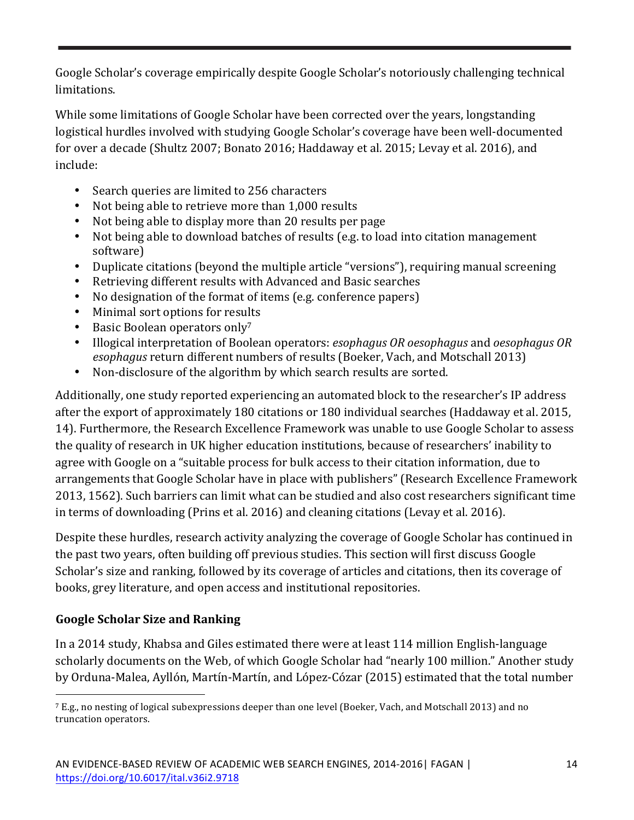Google Scholar's coverage empirically despite Google Scholar's notoriously challenging technical limitations. 

While some limitations of Google Scholar have been corrected over the years, longstanding logistical hurdles involved with studying Google Scholar's coverage have been well-documented for over a decade (Shultz 2007; Bonato 2016; Haddaway et al. 2015; Levay et al. 2016), and include: 

- Search queries are limited to 256 characters
- Not being able to retrieve more than 1,000 results
- Not being able to display more than 20 results per page
- Not being able to download batches of results (e.g. to load into citation management software)
- Duplicate citations (beyond the multiple article "versions"), requiring manual screening
- Retrieving different results with Advanced and Basic searches
- No designation of the format of items (e.g. conference papers)
- Minimal sort options for results
- Basic Boolean operators only<sup>7</sup>
- Illogical interpretation of Boolean operators: *esophagus OR oesophagus* and *oesophagus OR esophagus* return different numbers of results (Boeker, Vach, and Motschall 2013)
- Non-disclosure of the algorithm by which search results are sorted.

Additionally, one study reported experiencing an automated block to the researcher's IP address after the export of approximately 180 citations or 180 individual searches (Haddaway et al. 2015, 14). Furthermore, the Research Excellence Framework was unable to use Google Scholar to assess the quality of research in UK higher education institutions, because of researchers' inability to agree with Google on a "suitable process for bulk access to their citation information, due to arrangements that Google Scholar have in place with publishers" (Research Excellence Framework 2013, 1562). Such barriers can limit what can be studied and also cost researchers significant time in terms of downloading (Prins et al. 2016) and cleaning citations (Levay et al. 2016).

Despite these hurdles, research activity analyzing the coverage of Google Scholar has continued in the past two years, often building off previous studies. This section will first discuss Google Scholar's size and ranking, followed by its coverage of articles and citations, then its coverage of books, grey literature, and open access and institutional repositories.

#### **Google Scholar Size and Ranking**

 

In a 2014 study, Khabsa and Giles estimated there were at least 114 million English-language scholarly documents on the Web, of which Google Scholar had "nearly 100 million." Another study by Orduna-Malea, Ayllón, Martín-Martín, and López-Cózar (2015) estimated that the total number

 $^7$  E.g., no nesting of logical subexpressions deeper than one level (Boeker, Vach, and Motschall 2013) and no truncation operators.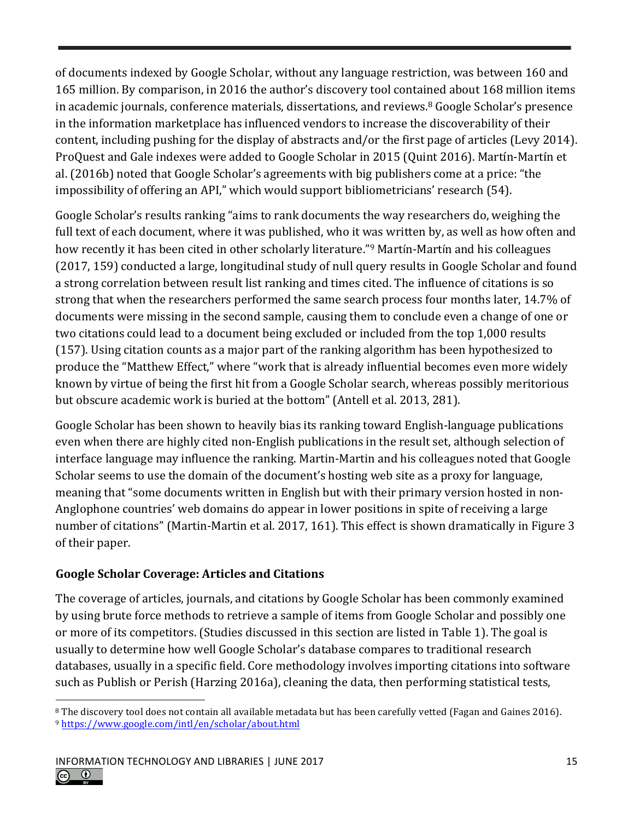of documents indexed by Google Scholar, without any language restriction, was between 160 and 165 million. By comparison, in 2016 the author's discovery tool contained about 168 million items in academic journals, conference materials, dissertations, and reviews.<sup>8</sup> Google Scholar's presence in the information marketplace has influenced vendors to increase the discoverability of their content, including pushing for the display of abstracts and/or the first page of articles (Levy 2014). ProQuest and Gale indexes were added to Google Scholar in 2015 (Quint 2016). Martín-Martín et al. (2016b) noted that Google Scholar's agreements with big publishers come at a price: "the impossibility of offering an API," which would support bibliometricians' research (54).

Google Scholar's results ranking "aims to rank documents the way researchers do, weighing the full text of each document, where it was published, who it was written by, as well as how often and how recently it has been cited in other scholarly literature."<sup>9</sup> Martín-Martín and his colleagues (2017, 159) conducted a large, longitudinal study of null query results in Google Scholar and found a strong correlation between result list ranking and times cited. The influence of citations is so strong that when the researchers performed the same search process four months later, 14.7% of documents were missing in the second sample, causing them to conclude even a change of one or two citations could lead to a document being excluded or included from the top 1,000 results (157). Using citation counts as a major part of the ranking algorithm has been hypothesized to produce the "Matthew Effect," where "work that is already influential becomes even more widely known by virtue of being the first hit from a Google Scholar search, whereas possibly meritorious but obscure academic work is buried at the bottom" (Antell et al. 2013, 281).

Google Scholar has been shown to heavily bias its ranking toward English-language publications even when there are highly cited non-English publications in the result set, although selection of interface language may influence the ranking. Martin-Martin and his colleagues noted that Google Scholar seems to use the domain of the document's hosting web site as a proxy for language, meaning that "some documents written in English but with their primary version hosted in non-Anglophone countries' web domains do appear in lower positions in spite of receiving a large number of citations" (Martin-Martin et al. 2017, 161). This effect is shown dramatically in Figure 3 of their paper.

## **Google Scholar Coverage: Articles and Citations**

The coverage of articles, journals, and citations by Google Scholar has been commonly examined by using brute force methods to retrieve a sample of items from Google Scholar and possibly one or more of its competitors. (Studies discussed in this section are listed in Table 1). The goal is usually to determine how well Google Scholar's database compares to traditional research databases, usually in a specific field. Core methodology involves importing citations into software such as Publish or Perish (Harzing 2016a), cleaning the data, then performing statistical tests,

<u> 1989 - Johann Barn, mars ann an t-Amhain an t-Amhain an t-Amhain an t-Amhain an t-Amhain an t-Amhain an t-Amh</u> <sup>8</sup> The discovery tool does not contain all available metadata but has been carefully vetted (Fagan and Gaines 2016). <sup>9</sup> https://www.google.com/intl/en/scholar/about.html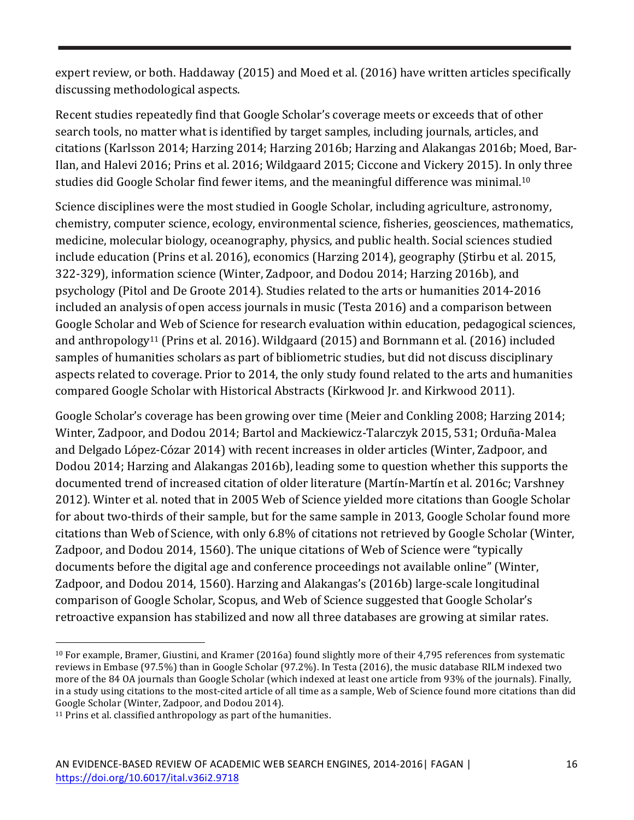expert review, or both. Haddaway (2015) and Moed et al. (2016) have written articles specifically discussing methodological aspects.

Recent studies repeatedly find that Google Scholar's coverage meets or exceeds that of other search tools, no matter what is identified by target samples, including journals, articles, and citations (Karlsson 2014; Harzing 2014; Harzing 2016b; Harzing and Alakangas 2016b; Moed, Bar-Ilan, and Halevi 2016; Prins et al. 2016; Wildgaard 2015; Ciccone and Vickery 2015). In only three studies did Google Scholar find fewer items, and the meaningful difference was minimal.<sup>10</sup>

Science disciplines were the most studied in Google Scholar, including agriculture, astronomy, chemistry, computer science, ecology, environmental science, fisheries, geosciences, mathematics, medicine, molecular biology, oceanography, physics, and public health. Social sciences studied include education (Prins et al. 2016), economics (Harzing 2014), geography (Ştirbu et al. 2015, 322-329), information science (Winter, Zadpoor, and Dodou 2014; Harzing 2016b), and psychology (Pitol and De Groote 2014). Studies related to the arts or humanities 2014-2016 included an analysis of open access journals in music (Testa 2016) and a comparison between Google Scholar and Web of Science for research evaluation within education, pedagogical sciences, and anthropology<sup>11</sup> (Prins et al. 2016). Wildgaard (2015) and Bornmann et al. (2016) included samples of humanities scholars as part of bibliometric studies, but did not discuss disciplinary aspects related to coverage. Prior to 2014, the only study found related to the arts and humanities compared Google Scholar with Historical Abstracts (Kirkwood Jr. and Kirkwood 2011).

Google Scholar's coverage has been growing over time (Meier and Conkling 2008; Harzing 2014; Winter, Zadpoor, and Dodou 2014; Bartol and Mackiewicz-Talarczyk 2015, 531; Orduña-Malea and Delgado López-Cózar 2014) with recent increases in older articles (Winter, Zadpoor, and Dodou 2014; Harzing and Alakangas 2016b), leading some to question whether this supports the documented trend of increased citation of older literature (Martín-Martín et al. 2016c; Varshney 2012). Winter et al. noted that in 2005 Web of Science yielded more citations than Google Scholar for about two-thirds of their sample, but for the same sample in 2013, Google Scholar found more citations than Web of Science, with only 6.8% of citations not retrieved by Google Scholar (Winter, Zadpoor, and Dodou 2014, 1560). The unique citations of Web of Science were "typically documents before the digital age and conference proceedings not available online" (Winter, Zadpoor, and Dodou 2014, 1560). Harzing and Alakangas's (2016b) large-scale longitudinal comparison of Google Scholar, Scopus, and Web of Science suggested that Google Scholar's retroactive expansion has stabilized and now all three databases are growing at similar rates.

 $10$  For example, Bramer, Giustini, and Kramer (2016a) found slightly more of their 4,795 references from systematic reviews in Embase (97.5%) than in Google Scholar (97.2%). In Testa (2016), the music database RILM indexed two more of the 84 OA journals than Google Scholar (which indexed at least one article from 93% of the journals). Finally, in a study using citations to the most-cited article of all time as a sample, Web of Science found more citations than did Google Scholar (Winter, Zadpoor, and Dodou 2014).

 $11$  Prins et al. classified anthropology as part of the humanities.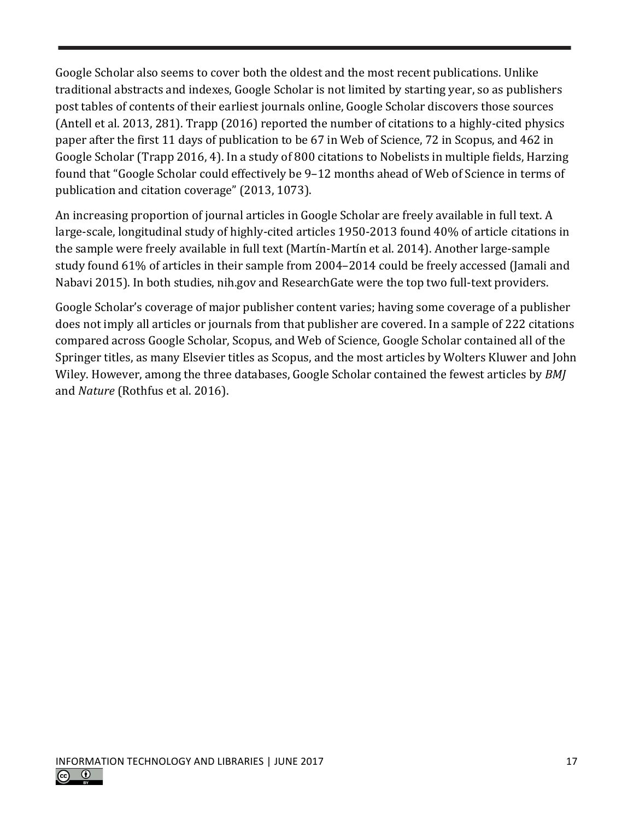Google Scholar also seems to cover both the oldest and the most recent publications. Unlike traditional abstracts and indexes, Google Scholar is not limited by starting year, so as publishers post tables of contents of their earliest journals online, Google Scholar discovers those sources (Antell et al. 2013, 281). Trapp (2016) reported the number of citations to a highly-cited physics paper after the first 11 days of publication to be 67 in Web of Science, 72 in Scopus, and 462 in Google Scholar (Trapp 2016, 4). In a study of 800 citations to Nobelists in multiple fields, Harzing found that "Google Scholar could effectively be 9-12 months ahead of Web of Science in terms of publication and citation coverage" (2013, 1073).

An increasing proportion of journal articles in Google Scholar are freely available in full text. A large-scale, longitudinal study of highly-cited articles 1950-2013 found 40% of article citations in the sample were freely available in full text (Martín-Martín et al. 2014). Another large-sample study found 61% of articles in their sample from 2004–2014 could be freely accessed (Jamali and Nabavi 2015). In both studies, nih.gov and ResearchGate were the top two full-text providers.

Google Scholar's coverage of major publisher content varies; having some coverage of a publisher does not imply all articles or journals from that publisher are covered. In a sample of 222 citations compared across Google Scholar, Scopus, and Web of Science, Google Scholar contained all of the Springer titles, as many Elsevier titles as Scopus, and the most articles by Wolters Kluwer and John Wiley. However, among the three databases, Google Scholar contained the fewest articles by *BMJ* and *Nature* (Rothfus et al. 2016).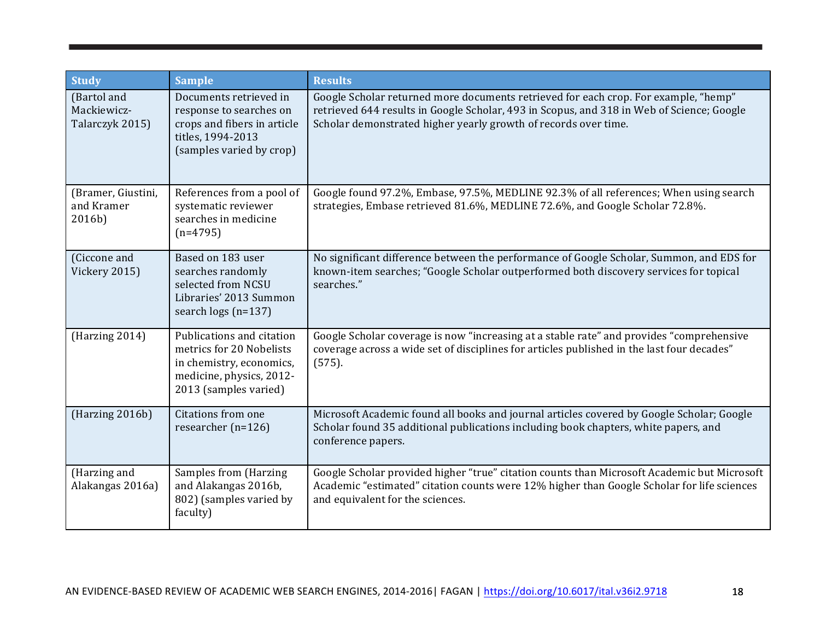| <b>Study</b>                                  | <b>Sample</b>                                                                                                                          | <b>Results</b>                                                                                                                                                                                                                                      |
|-----------------------------------------------|----------------------------------------------------------------------------------------------------------------------------------------|-----------------------------------------------------------------------------------------------------------------------------------------------------------------------------------------------------------------------------------------------------|
| (Bartol and<br>Mackiewicz-<br>Talarczyk 2015) | Documents retrieved in<br>response to searches on<br>crops and fibers in article<br>titles, 1994-2013<br>(samples varied by crop)      | Google Scholar returned more documents retrieved for each crop. For example, "hemp"<br>retrieved 644 results in Google Scholar, 493 in Scopus, and 318 in Web of Science; Google<br>Scholar demonstrated higher yearly growth of records over time. |
| (Bramer, Giustini,<br>and Kramer<br>2016b)    | References from a pool of<br>systematic reviewer<br>searches in medicine<br>$(n=4795)$                                                 | Google found 97.2%, Embase, 97.5%, MEDLINE 92.3% of all references; When using search<br>strategies, Embase retrieved 81.6%, MEDLINE 72.6%, and Google Scholar 72.8%.                                                                               |
| (Ciccone and<br>Vickery 2015)                 | Based on 183 user<br>searches randomly<br>selected from NCSU<br>Libraries' 2013 Summon<br>search logs $(n=137)$                        | No significant difference between the performance of Google Scholar, Summon, and EDS for<br>known-item searches; "Google Scholar outperformed both discovery services for topical<br>searches."                                                     |
| (Harzing 2014)                                | Publications and citation<br>metrics for 20 Nobelists<br>in chemistry, economics,<br>medicine, physics, 2012-<br>2013 (samples varied) | Google Scholar coverage is now "increasing at a stable rate" and provides "comprehensive<br>coverage across a wide set of disciplines for articles published in the last four decades"<br>(575).                                                    |
| (Harzing 2016b)                               | Citations from one<br>researcher $(n=126)$                                                                                             | Microsoft Academic found all books and journal articles covered by Google Scholar; Google<br>Scholar found 35 additional publications including book chapters, white papers, and<br>conference papers.                                              |
| (Harzing and<br>Alakangas 2016a)              | Samples from (Harzing<br>and Alakangas 2016b,<br>802) (samples varied by<br>faculty)                                                   | Google Scholar provided higher "true" citation counts than Microsoft Academic but Microsoft<br>Academic "estimated" citation counts were 12% higher than Google Scholar for life sciences<br>and equivalent for the sciences.                       |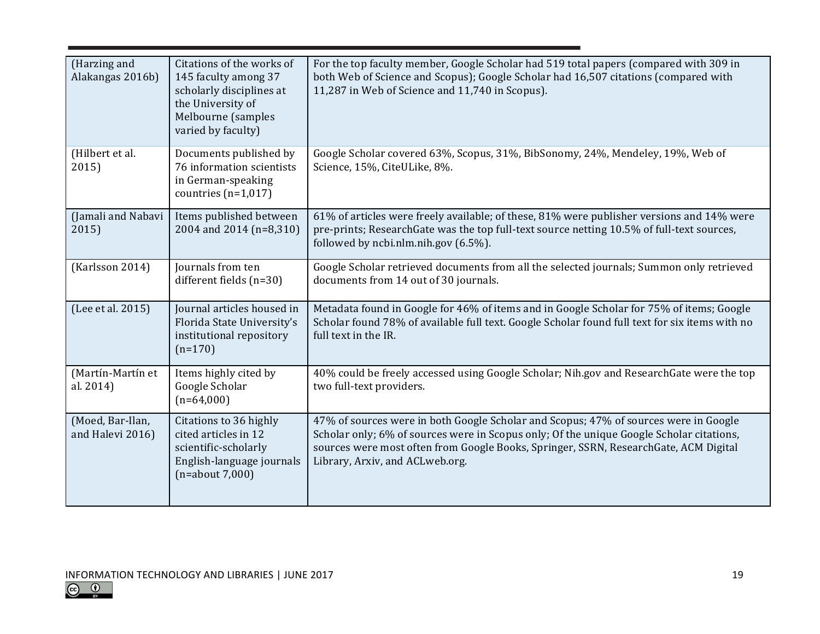| (Harzing and<br>Alakangas 2016b)     | Citations of the works of<br>145 faculty among 37<br>scholarly disciplines at<br>the University of<br>Melbourne (samples<br>varied by faculty) | For the top faculty member, Google Scholar had 519 total papers (compared with 309 in<br>both Web of Science and Scopus); Google Scholar had 16,507 citations (compared with<br>11,287 in Web of Science and 11,740 in Scopus).                                                                             |
|--------------------------------------|------------------------------------------------------------------------------------------------------------------------------------------------|-------------------------------------------------------------------------------------------------------------------------------------------------------------------------------------------------------------------------------------------------------------------------------------------------------------|
| (Hilbert et al.<br>2015              | Documents published by<br>76 information scientists<br>in German-speaking<br>countries $(n=1,017)$                                             | Google Scholar covered 63%, Scopus, 31%, BibSonomy, 24%, Mendeley, 19%, Web of<br>Science, 15%, CiteULike, 8%.                                                                                                                                                                                              |
| (Jamali and Nabavi<br>2015           | Items published between<br>2004 and 2014 (n=8,310)                                                                                             | 61% of articles were freely available; of these, 81% were publisher versions and 14% were<br>pre-prints; ResearchGate was the top full-text source netting 10.5% of full-text sources,<br>followed by ncbi.nlm.nih.gov (6.5%).                                                                              |
| (Karlsson 2014)                      | Journals from ten<br>different fields (n=30)                                                                                                   | Google Scholar retrieved documents from all the selected journals; Summon only retrieved<br>documents from 14 out of 30 journals.                                                                                                                                                                           |
| (Lee et al. 2015)                    | Journal articles housed in<br>Florida State University's<br>institutional repository<br>$(n=170)$                                              | Metadata found in Google for 46% of items and in Google Scholar for 75% of items; Google<br>Scholar found 78% of available full text. Google Scholar found full text for six items with no<br>full text in the IR.                                                                                          |
| (Martín-Martín et<br>al. 2014)       | Items highly cited by<br>Google Scholar<br>$(n=64,000)$                                                                                        | 40% could be freely accessed using Google Scholar; Nih.gov and ResearchGate were the top<br>two full-text providers.                                                                                                                                                                                        |
| (Moed, Bar-Ilan,<br>and Halevi 2016) | Citations to 36 highly<br>cited articles in 12<br>scientific-scholarly<br>English-language journals<br>$(n=about 7,000)$                       | 47% of sources were in both Google Scholar and Scopus; 47% of sources were in Google<br>Scholar only; 6% of sources were in Scopus only; Of the unique Google Scholar citations,<br>sources were most often from Google Books, Springer, SSRN, ResearchGate, ACM Digital<br>Library, Arxiv, and ACLweb.org. |

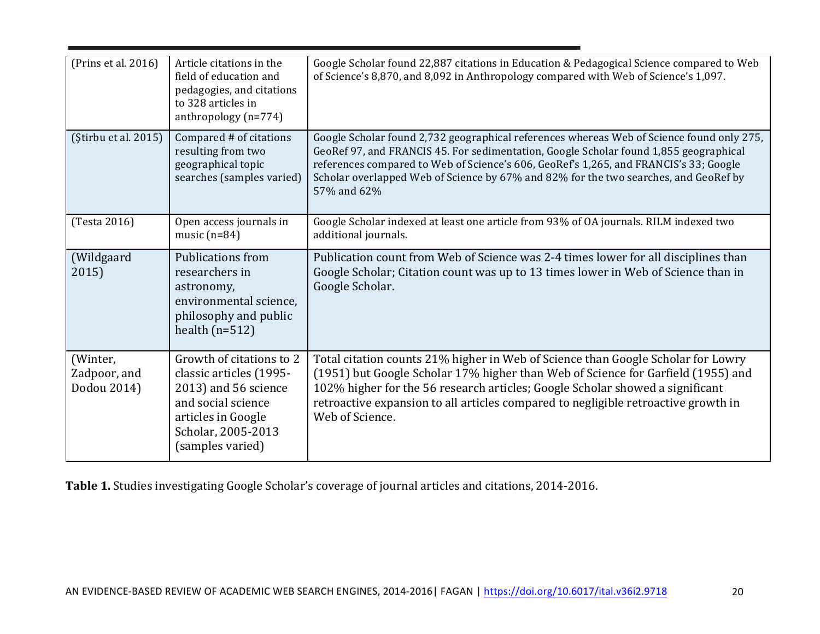| (Prins et al. 2016)                     | Article citations in the<br>field of education and<br>pedagogies, and citations<br>to 328 articles in<br>anthropology (n=774)                                     | Google Scholar found 22,887 citations in Education & Pedagogical Science compared to Web<br>of Science's 8,870, and 8,092 in Anthropology compared with Web of Science's 1,097.                                                                                                                                                                                                    |
|-----------------------------------------|-------------------------------------------------------------------------------------------------------------------------------------------------------------------|------------------------------------------------------------------------------------------------------------------------------------------------------------------------------------------------------------------------------------------------------------------------------------------------------------------------------------------------------------------------------------|
| (Stirbu et al. 2015)                    | Compared # of citations<br>resulting from two<br>geographical topic<br>searches (samples varied)                                                                  | Google Scholar found 2,732 geographical references whereas Web of Science found only 275,<br>GeoRef 97, and FRANCIS 45. For sedimentation, Google Scholar found 1,855 geographical<br>references compared to Web of Science's 606, GeoRef's 1,265, and FRANCIS's 33; Google<br>Scholar overlapped Web of Science by 67% and 82% for the two searches, and GeoRef by<br>57% and 62% |
| (Testa 2016)                            | Open access journals in<br>music $(n=84)$                                                                                                                         | Google Scholar indexed at least one article from 93% of OA journals. RILM indexed two<br>additional journals.                                                                                                                                                                                                                                                                      |
| (Wildgaard<br>2015)                     | <b>Publications from</b><br>researchers in<br>astronomy,<br>environmental science,<br>philosophy and public<br>health $(n=512)$                                   | Publication count from Web of Science was 2-4 times lower for all disciplines than<br>Google Scholar; Citation count was up to 13 times lower in Web of Science than in<br>Google Scholar.                                                                                                                                                                                         |
| (Winter,<br>Zadpoor, and<br>Dodou 2014) | Growth of citations to 2<br>classic articles (1995-<br>2013) and 56 science<br>and social science<br>articles in Google<br>Scholar, 2005-2013<br>(samples varied) | Total citation counts 21% higher in Web of Science than Google Scholar for Lowry<br>(1951) but Google Scholar 17% higher than Web of Science for Garfield (1955) and<br>102% higher for the 56 research articles; Google Scholar showed a significant<br>retroactive expansion to all articles compared to negligible retroactive growth in<br>Web of Science.                     |

Table 1. Studies investigating Google Scholar's coverage of journal articles and citations, 2014-2016.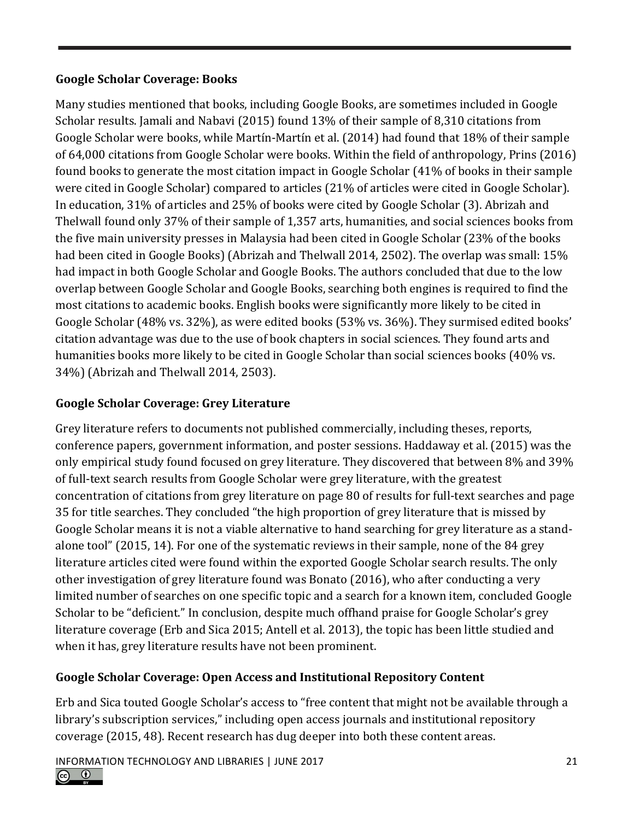## **Google Scholar Coverage: Books**

Many studies mentioned that books, including Google Books, are sometimes included in Google Scholar results. Jamali and Nabavi (2015) found 13% of their sample of 8,310 citations from Google Scholar were books, while Martín-Martín et al. (2014) had found that 18% of their sample of 64,000 citations from Google Scholar were books. Within the field of anthropology, Prins (2016) found books to generate the most citation impact in Google Scholar  $(41\%$  of books in their sample were cited in Google Scholar) compared to articles (21% of articles were cited in Google Scholar). In education, 31% of articles and 25% of books were cited by Google Scholar (3). Abrizah and Thelwall found only 37% of their sample of 1,357 arts, humanities, and social sciences books from the five main university presses in Malaysia had been cited in Google Scholar (23% of the books had been cited in Google Books) (Abrizah and Thelwall 2014, 2502). The overlap was small:  $15\%$ had impact in both Google Scholar and Google Books. The authors concluded that due to the low overlap between Google Scholar and Google Books, searching both engines is required to find the most citations to academic books. English books were significantly more likely to be cited in Google Scholar  $(48\% \text{ vs. } 32\%)$ , as were edited books  $(53\% \text{ vs. } 36\%)$ . They surmised edited books' citation advantage was due to the use of book chapters in social sciences. They found arts and humanities books more likely to be cited in Google Scholar than social sciences books (40% vs. 34%) (Abrizah and Thelwall 2014, 2503).

# **Google Scholar Coverage: Grey Literature**

Grey literature refers to documents not published commercially, including theses, reports, conference papers, government information, and poster sessions. Haddaway et al. (2015) was the only empirical study found focused on grey literature. They discovered that between 8% and 39% of full-text search results from Google Scholar were grey literature, with the greatest concentration of citations from grey literature on page 80 of results for full-text searches and page 35 for title searches. They concluded "the high proportion of grey literature that is missed by Google Scholar means it is not a viable alternative to hand searching for grey literature as a standalone tool" (2015, 14). For one of the systematic reviews in their sample, none of the 84 grey literature articles cited were found within the exported Google Scholar search results. The only other investigation of grey literature found was Bonato (2016), who after conducting a very limited number of searches on one specific topic and a search for a known item, concluded Google Scholar to be "deficient." In conclusion, despite much offhand praise for Google Scholar's grey literature coverage (Erb and Sica 2015; Antell et al. 2013), the topic has been little studied and when it has, grey literature results have not been prominent.

# Google Scholar Coverage: Open Access and Institutional Repository Content

Erb and Sica touted Google Scholar's access to "free content that might not be available through a library's subscription services," including open access journals and institutional repository coverage (2015, 48). Recent research has dug deeper into both these content areas.

INFORMATION TECHNOLOGY AND LIBRARIES | JUNE 2017 21 21

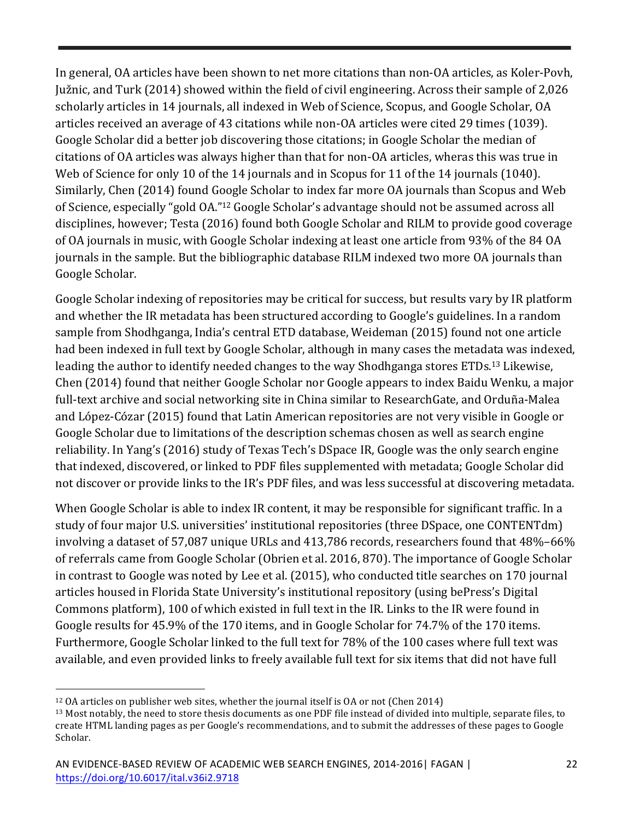In general, OA articles have been shown to net more citations than non-OA articles, as Koler-Povh, Južnic, and Turk (2014) showed within the field of civil engineering. Across their sample of 2,026 scholarly articles in 14 journals, all indexed in Web of Science, Scopus, and Google Scholar, OA articles received an average of 43 citations while non-OA articles were cited 29 times (1039). Google Scholar did a better job discovering those citations; in Google Scholar the median of citations of OA articles was always higher than that for non-OA articles, wheras this was true in Web of Science for only 10 of the 14 journals and in Scopus for 11 of the 14 journals (1040). Similarly, Chen (2014) found Google Scholar to index far more OA journals than Scopus and Web of Science, especially "gold OA."<sup>12</sup> Google Scholar's advantage should not be assumed across all disciplines, however; Testa (2016) found both Google Scholar and RILM to provide good coverage of OA journals in music, with Google Scholar indexing at least one article from 93% of the 84 OA journals in the sample. But the bibliographic database RILM indexed two more OA journals than Google Scholar.

Google Scholar indexing of repositories may be critical for success, but results vary by IR platform and whether the IR metadata has been structured according to Google's guidelines. In a random sample from Shodhganga, India's central ETD database, Weideman (2015) found not one article had been indexed in full text by Google Scholar, although in many cases the metadata was indexed, leading the author to identify needed changes to the way Shodhganga stores  $ETDs$ .<sup>13</sup> Likewise, Chen (2014) found that neither Google Scholar nor Google appears to index Baidu Wenku, a major full-text archive and social networking site in China similar to ResearchGate, and Orduña-Malea and López-Cózar (2015) found that Latin American repositories are not very visible in Google or Google Scholar due to limitations of the description schemas chosen as well as search engine reliability. In Yang's (2016) study of Texas Tech's DSpace IR, Google was the only search engine that indexed, discovered, or linked to PDF files supplemented with metadata; Google Scholar did not discover or provide links to the IR's PDF files, and was less successful at discovering metadata.

When Google Scholar is able to index IR content, it may be responsible for significant traffic. In a study of four major U.S. universities' institutional repositories (three DSpace, one CONTENTdm) involving a dataset of 57,087 unique URLs and 413,786 records, researchers found that 48%–66% of referrals came from Google Scholar (Obrien et al. 2016, 870). The importance of Google Scholar in contrast to Google was noted by Lee et al. (2015), who conducted title searches on 170 journal articles housed in Florida State University's institutional repository (using bePress's Digital Commons platform), 100 of which existed in full text in the IR. Links to the IR were found in Google results for 45.9% of the 170 items, and in Google Scholar for 74.7% of the 170 items. Furthermore, Google Scholar linked to the full text for 78% of the 100 cases where full text was available, and even provided links to freely available full text for six items that did not have full

 $12$  OA articles on publisher web sites, whether the journal itself is OA or not (Chen 2014)

<sup>&</sup>lt;sup>13</sup> Most notably, the need to store thesis documents as one PDF file instead of divided into multiple, separate files, to create HTML landing pages as per Google's recommendations, and to submit the addresses of these pages to Google Scholar.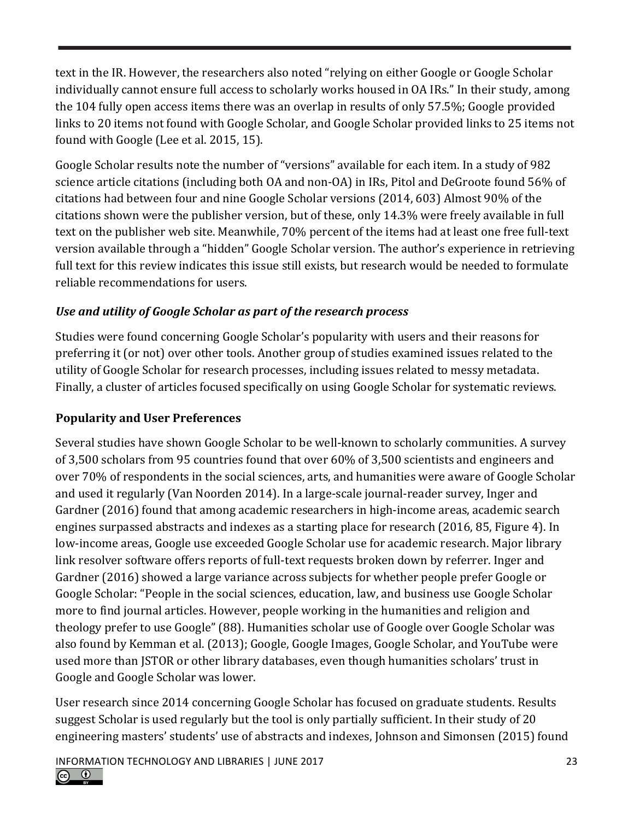text in the IR. However, the researchers also noted "relying on either Google or Google Scholar individually cannot ensure full access to scholarly works housed in OA IRs." In their study, among the 104 fully open access items there was an overlap in results of only 57.5%; Google provided links to 20 items not found with Google Scholar, and Google Scholar provided links to 25 items not found with Google (Lee et al. 2015, 15).

Google Scholar results note the number of "versions" available for each item. In a study of 982 science article citations (including both OA and non-OA) in IRs, Pitol and DeGroote found 56% of citations had between four and nine Google Scholar versions (2014, 603) Almost 90% of the citations shown were the publisher version, but of these, only 14.3% were freely available in full text on the publisher web site. Meanwhile, 70% percent of the items had at least one free full-text version available through a "hidden" Google Scholar version. The author's experience in retrieving full text for this review indicates this issue still exists, but research would be needed to formulate reliable recommendations for users.

## Use and utility of *Google Scholar as part of the research process*

Studies were found concerning Google Scholar's popularity with users and their reasons for preferring it (or not) over other tools. Another group of studies examined issues related to the utility of Google Scholar for research processes, including issues related to messy metadata. Finally, a cluster of articles focused specifically on using Google Scholar for systematic reviews.

# **Popularity and User Preferences**

Several studies have shown Google Scholar to be well-known to scholarly communities. A survey of 3,500 scholars from 95 countries found that over 60% of 3,500 scientists and engineers and over 70% of respondents in the social sciences, arts, and humanities were aware of Google Scholar and used it regularly (Van Noorden 2014). In a large-scale journal-reader survey, Inger and Gardner (2016) found that among academic researchers in high-income areas, academic search engines surpassed abstracts and indexes as a starting place for research (2016, 85, Figure 4). In low-income areas, Google use exceeded Google Scholar use for academic research. Major library link resolver software offers reports of full-text requests broken down by referrer. Inger and Gardner (2016) showed a large variance across subjects for whether people prefer Google or Google Scholar: "People in the social sciences, education, law, and business use Google Scholar more to find journal articles. However, people working in the humanities and religion and theology prefer to use Google" (88). Humanities scholar use of Google over Google Scholar was also found by Kemman et al. (2013); Google, Google Images, Google Scholar, and YouTube were used more than JSTOR or other library databases, even though humanities scholars' trust in Google and Google Scholar was lower.

User research since 2014 concerning Google Scholar has focused on graduate students. Results suggest Scholar is used regularly but the tool is only partially sufficient. In their study of 20 engineering masters' students' use of abstracts and indexes, Johnson and Simonsen (2015) found

INFORMATION TECHNOLOGY AND LIBRARIES | JUNE 2017 23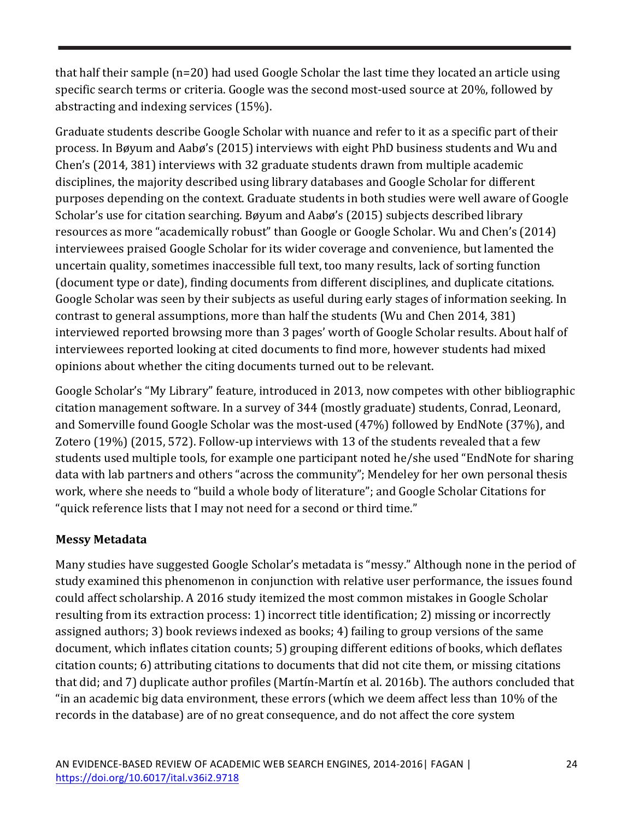that half their sample  $(n=20)$  had used Google Scholar the last time they located an article using specific search terms or criteria. Google was the second most-used source at 20%, followed by abstracting and indexing services  $(15%)$ .

Graduate students describe Google Scholar with nuance and refer to it as a specific part of their process. In Bøyum and Aabø's (2015) interviews with eight PhD business students and Wu and Chen's (2014, 381) interviews with 32 graduate students drawn from multiple academic disciplines, the majority described using library databases and Google Scholar for different purposes depending on the context. Graduate students in both studies were well aware of Google Scholar's use for citation searching. Bøyum and Aabø's (2015) subjects described library resources as more "academically robust" than Google or Google Scholar. Wu and Chen's (2014) interviewees praised Google Scholar for its wider coverage and convenience, but lamented the uncertain quality, sometimes inaccessible full text, too many results, lack of sorting function (document type or date), finding documents from different disciplines, and duplicate citations. Google Scholar was seen by their subjects as useful during early stages of information seeking. In contrast to general assumptions, more than half the students (Wu and Chen 2014, 381) interviewed reported browsing more than 3 pages' worth of Google Scholar results. About half of interviewees reported looking at cited documents to find more, however students had mixed opinions about whether the citing documents turned out to be relevant.

Google Scholar's "My Library" feature, introduced in 2013, now competes with other bibliographic citation management software. In a survey of 344 (mostly graduate) students, Conrad, Leonard, and Somerville found Google Scholar was the most-used (47%) followed by EndNote (37%), and Zotero  $(19%)$   $(2015, 572)$ . Follow-up interviews with 13 of the students revealed that a few students used multiple tools, for example one participant noted he/she used "EndNote for sharing data with lab partners and others "across the community"; Mendeley for her own personal thesis work, where she needs to "build a whole body of literature"; and Google Scholar Citations for "quick reference lists that I may not need for a second or third time."

## **Messy Metadata**

Many studies have suggested Google Scholar's metadata is "messy." Although none in the period of study examined this phenomenon in conjunction with relative user performance, the issues found could affect scholarship. A 2016 study itemized the most common mistakes in Google Scholar resulting from its extraction process: 1) incorrect title identification; 2) missing or incorrectly assigned authors; 3) book reviews indexed as books; 4) failing to group versions of the same document, which inflates citation counts; 5) grouping different editions of books, which deflates citation counts; 6) attributing citations to documents that did not cite them, or missing citations that did; and 7) duplicate author profiles (Martín-Martín et al. 2016b). The authors concluded that "in an academic big data environment, these errors (which we deem affect less than  $10\%$  of the records in the database) are of no great consequence, and do not affect the core system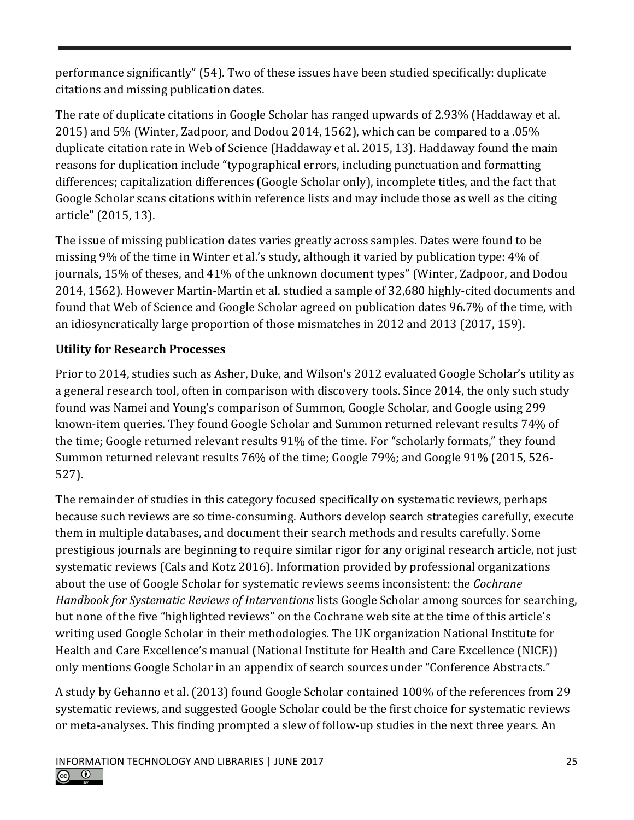performance significantly" (54). Two of these issues have been studied specifically: duplicate citations and missing publication dates.

The rate of duplicate citations in Google Scholar has ranged upwards of 2.93% (Haddaway et al. 2015) and  $5\%$  (Winter, Zadpoor, and Dodou 2014, 1562), which can be compared to a .05% duplicate citation rate in Web of Science (Haddaway et al. 2015, 13). Haddaway found the main reasons for duplication include "typographical errors, including punctuation and formatting differences; capitalization differences (Google Scholar only), incomplete titles, and the fact that Google Scholar scans citations within reference lists and may include those as well as the citing article" (2015, 13).

The issue of missing publication dates varies greatly across samples. Dates were found to be missing 9% of the time in Winter et al.'s study, although it varied by publication type:  $4\%$  of journals, 15% of theses, and 41% of the unknown document types" (Winter, Zadpoor, and Dodou 2014, 1562). However Martin-Martin et al. studied a sample of 32,680 highly-cited documents and found that Web of Science and Google Scholar agreed on publication dates 96.7% of the time, with an idiosyncratically large proportion of those mismatches in 2012 and 2013 (2017, 159).

## **Utility for Research Processes**

Prior to 2014, studies such as Asher, Duke, and Wilson's 2012 evaluated Google Scholar's utility as a general research tool, often in comparison with discovery tools. Since 2014, the only such study found was Namei and Young's comparison of Summon, Google Scholar, and Google using 299 known-item queries. They found Google Scholar and Summon returned relevant results 74% of the time; Google returned relevant results 91% of the time. For "scholarly formats," they found Summon returned relevant results 76% of the time; Google 79%; and Google 91% (2015, 526-527). 

The remainder of studies in this category focused specifically on systematic reviews, perhaps because such reviews are so time-consuming. Authors develop search strategies carefully, execute them in multiple databases, and document their search methods and results carefully. Some prestigious journals are beginning to require similar rigor for any original research article, not just systematic reviews (Cals and Kotz 2016). Information provided by professional organizations about the use of Google Scholar for systematic reviews seems inconsistent: the *Cochrane Handbook for Systematic Reviews of Interventions lists Google Scholar among sources for searching,* but none of the five "highlighted reviews" on the Cochrane web site at the time of this article's writing used Google Scholar in their methodologies. The UK organization National Institute for Health and Care Excellence's manual (National Institute for Health and Care Excellence (NICE)) only mentions Google Scholar in an appendix of search sources under "Conference Abstracts."

A study by Gehanno et al. (2013) found Google Scholar contained 100% of the references from 29 systematic reviews, and suggested Google Scholar could be the first choice for systematic reviews or meta-analyses. This finding prompted a slew of follow-up studies in the next three years. An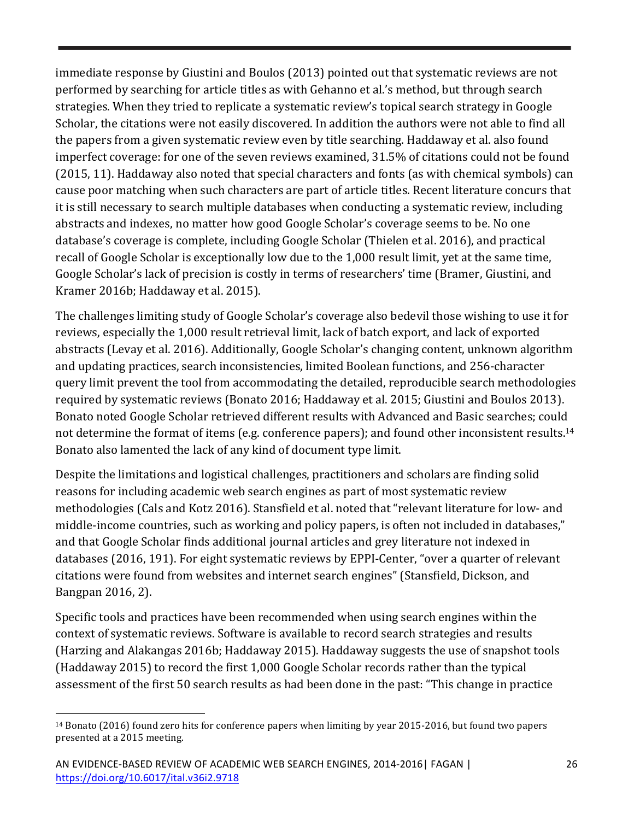immediate response by Giustini and Boulos (2013) pointed out that systematic reviews are not performed by searching for article titles as with Gehanno et al.'s method, but through search strategies. When they tried to replicate a systematic review's topical search strategy in Google Scholar, the citations were not easily discovered. In addition the authors were not able to find all the papers from a given systematic review even by title searching. Haddaway et al. also found imperfect coverage: for one of the seven reviews examined, 31.5% of citations could not be found (2015, 11). Haddaway also noted that special characters and fonts (as with chemical symbols) can cause poor matching when such characters are part of article titles. Recent literature concurs that it is still necessary to search multiple databases when conducting a systematic review, including abstracts and indexes, no matter how good Google Scholar's coverage seems to be. No one database's coverage is complete, including Google Scholar (Thielen et al. 2016), and practical recall of Google Scholar is exceptionally low due to the 1,000 result limit, yet at the same time, Google Scholar's lack of precision is costly in terms of researchers' time (Bramer, Giustini, and Kramer 2016b; Haddaway et al. 2015).

The challenges limiting study of Google Scholar's coverage also bedevil those wishing to use it for reviews, especially the 1,000 result retrieval limit, lack of batch export, and lack of exported abstracts (Levay et al. 2016). Additionally, Google Scholar's changing content, unknown algorithm and updating practices, search inconsistencies, limited Boolean functions, and 256-character query limit prevent the tool from accommodating the detailed, reproducible search methodologies required by systematic reviews (Bonato 2016; Haddaway et al. 2015; Giustini and Boulos 2013). Bonato noted Google Scholar retrieved different results with Advanced and Basic searches; could not determine the format of items (e.g. conference papers); and found other inconsistent results.<sup>14</sup> Bonato also lamented the lack of any kind of document type limit.

Despite the limitations and logistical challenges, practitioners and scholars are finding solid reasons for including academic web search engines as part of most systematic review methodologies (Cals and Kotz 2016). Stansfield et al. noted that "relevant literature for low- and middle-income countries, such as working and policy papers, is often not included in databases," and that Google Scholar finds additional journal articles and grey literature not indexed in databases (2016, 191). For eight systematic reviews by EPPI-Center, "over a quarter of relevant citations were found from websites and internet search engines" (Stansfield, Dickson, and Bangpan 2016, 2). 

Specific tools and practices have been recommended when using search engines within the context of systematic reviews. Software is available to record search strategies and results (Harzing and Alakangas 2016b; Haddaway 2015). Haddaway suggests the use of snapshot tools (Haddaway 2015) to record the first 1,000 Google Scholar records rather than the typical assessment of the first 50 search results as had been done in the past: "This change in practice

<u> 1989 - Johann Barn, mars eta bainar eta industrial eta baina eta baina eta baina eta baina eta baina eta bain</u>

<sup>&</sup>lt;sup>14</sup> Bonato (2016) found zero hits for conference papers when limiting by year 2015-2016, but found two papers presented at a 2015 meeting.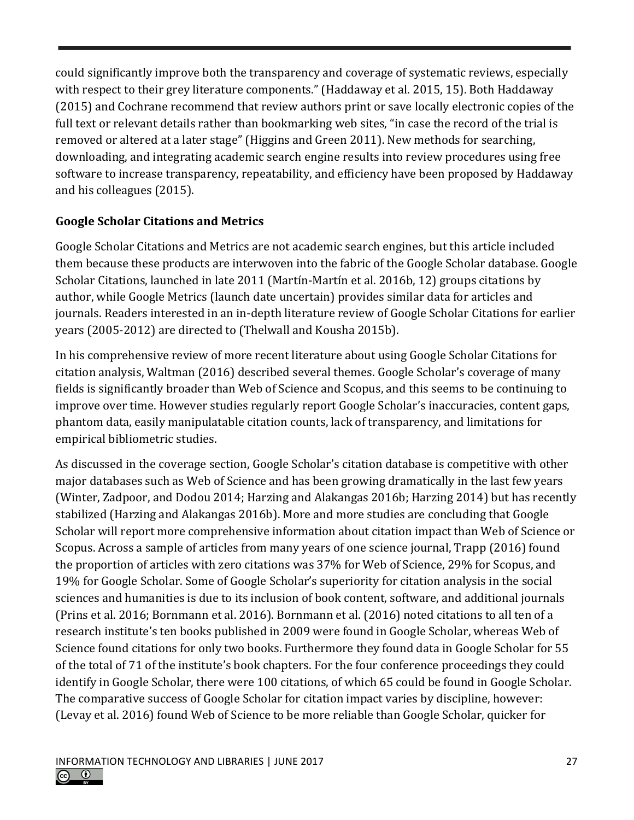could significantly improve both the transparency and coverage of systematic reviews, especially with respect to their grey literature components." (Haddaway et al. 2015, 15). Both Haddaway (2015) and Cochrane recommend that review authors print or save locally electronic copies of the full text or relevant details rather than bookmarking web sites, "in case the record of the trial is removed or altered at a later stage" (Higgins and Green 2011). New methods for searching, downloading, and integrating academic search engine results into review procedures using free software to increase transparency, repeatability, and efficiency have been proposed by Haddaway and his colleagues (2015).

## **Google Scholar Citations and Metrics**

Google Scholar Citations and Metrics are not academic search engines, but this article included them because these products are interwoven into the fabric of the Google Scholar database. Google Scholar Citations, launched in late 2011 (Martín-Martín et al. 2016b, 12) groups citations by author, while Google Metrics (launch date uncertain) provides similar data for articles and journals. Readers interested in an in-depth literature review of Google Scholar Citations for earlier years (2005-2012) are directed to (Thelwall and Kousha 2015b).

In his comprehensive review of more recent literature about using Google Scholar Citations for citation analysis, Waltman (2016) described several themes. Google Scholar's coverage of many fields is significantly broader than Web of Science and Scopus, and this seems to be continuing to improve over time. However studies regularly report Google Scholar's inaccuracies, content gaps, phantom data, easily manipulatable citation counts, lack of transparency, and limitations for empirical bibliometric studies.

As discussed in the coverage section, Google Scholar's citation database is competitive with other major databases such as Web of Science and has been growing dramatically in the last few years (Winter, Zadpoor, and Dodou 2014; Harzing and Alakangas 2016b; Harzing 2014) but has recently stabilized (Harzing and Alakangas 2016b). More and more studies are concluding that Google Scholar will report more comprehensive information about citation impact than Web of Science or Scopus. Across a sample of articles from many years of one science journal, Trapp (2016) found the proportion of articles with zero citations was 37% for Web of Science, 29% for Scopus, and 19% for Google Scholar. Some of Google Scholar's superiority for citation analysis in the social sciences and humanities is due to its inclusion of book content, software, and additional journals (Prins et al. 2016; Bornmann et al. 2016). Bornmann et al. (2016) noted citations to all ten of a research institute's ten books published in 2009 were found in Google Scholar, whereas Web of Science found citations for only two books. Furthermore they found data in Google Scholar for 55 of the total of 71 of the institute's book chapters. For the four conference proceedings they could identify in Google Scholar, there were 100 citations, of which 65 could be found in Google Scholar. The comparative success of Google Scholar for citation impact varies by discipline, however: (Levay et al. 2016) found Web of Science to be more reliable than Google Scholar, quicker for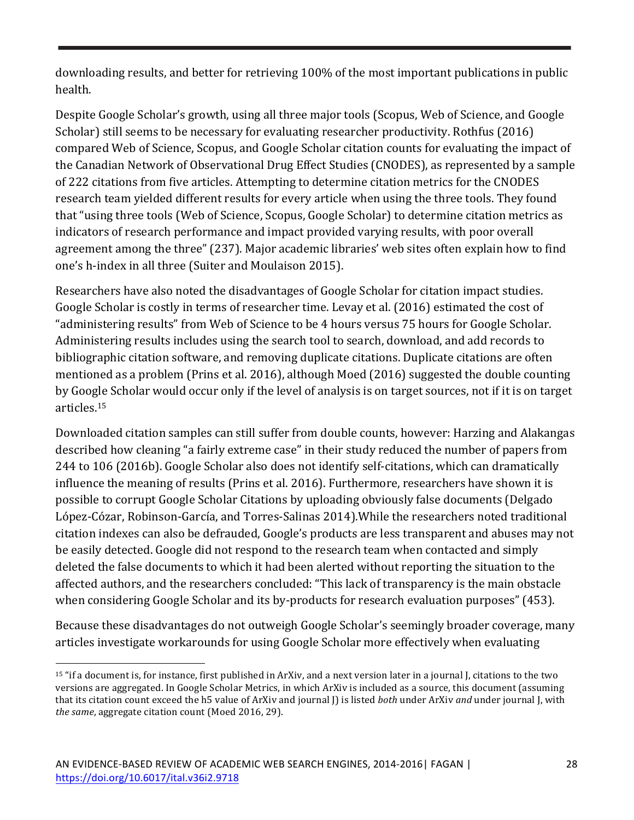downloading results, and better for retrieving 100% of the most important publications in public health.

Despite Google Scholar's growth, using all three major tools (Scopus, Web of Science, and Google Scholar) still seems to be necessary for evaluating researcher productivity. Rothfus (2016) compared Web of Science, Scopus, and Google Scholar citation counts for evaluating the impact of the Canadian Network of Observational Drug Effect Studies (CNODES), as represented by a sample of 222 citations from five articles. Attempting to determine citation metrics for the CNODES research team yielded different results for every article when using the three tools. They found that "using three tools (Web of Science, Scopus, Google Scholar) to determine citation metrics as indicators of research performance and impact provided varying results, with poor overall agreement among the three" (237). Major academic libraries' web sites often explain how to find one's h-index in all three (Suiter and Moulaison 2015).

Researchers have also noted the disadvantages of Google Scholar for citation impact studies. Google Scholar is costly in terms of researcher time. Levay et al. (2016) estimated the cost of "administering results" from Web of Science to be 4 hours versus 75 hours for Google Scholar. Administering results includes using the search tool to search, download, and add records to bibliographic citation software, and removing duplicate citations. Duplicate citations are often mentioned as a problem (Prins et al. 2016), although Moed (2016) suggested the double counting by Google Scholar would occur only if the level of analysis is on target sources, not if it is on target articles.15

Downloaded citation samples can still suffer from double counts, however: Harzing and Alakangas described how cleaning "a fairly extreme case" in their study reduced the number of papers from 244 to 106 (2016b). Google Scholar also does not identify self-citations, which can dramatically influence the meaning of results (Prins et al. 2016). Furthermore, researchers have shown it is possible to corrupt Google Scholar Citations by uploading obviously false documents (Delgado López-Cózar, Robinson-García, and Torres-Salinas 2014). While the researchers noted traditional citation indexes can also be defrauded, Google's products are less transparent and abuses may not be easily detected. Google did not respond to the research team when contacted and simply deleted the false documents to which it had been alerted without reporting the situation to the affected authors, and the researchers concluded: "This lack of transparency is the main obstacle when considering Google Scholar and its by-products for research evaluation purposes" (453).

Because these disadvantages do not outweigh Google Scholar's seemingly broader coverage, many articles investigate workarounds for using Google Scholar more effectively when evaluating

 $15$  "if a document is, for instance, first published in ArXiv, and a next version later in a journal J, citations to the two versions are aggregated. In Google Scholar Metrics, in which ArXiv is included as a source, this document (assuming that its citation count exceed the h5 value of ArXiv and journal I) is listed *both* under ArXiv *and* under journal J, with *the same*, aggregate citation count (Moed 2016, 29).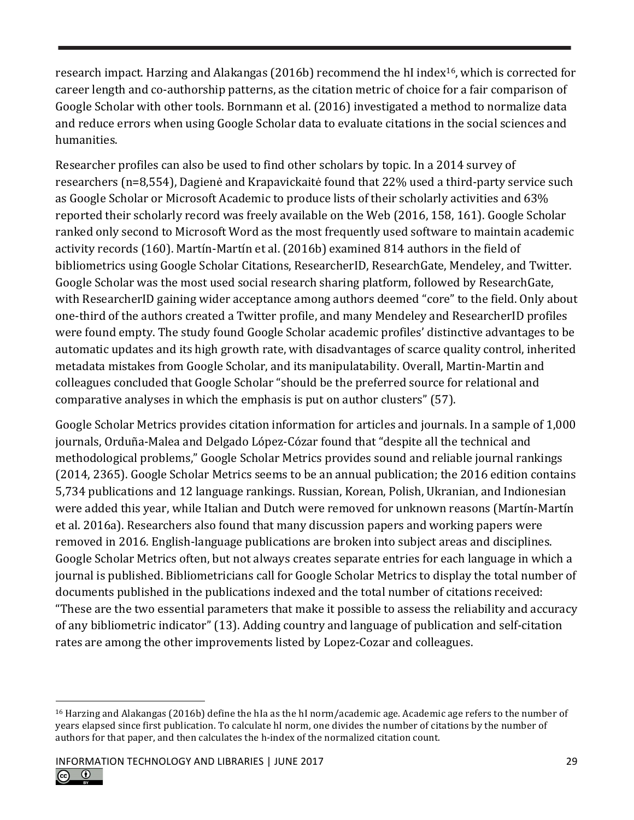research impact. Harzing and Alakangas (2016b) recommend the hI index<sup>16</sup>, which is corrected for career length and co-authorship patterns, as the citation metric of choice for a fair comparison of Google Scholar with other tools. Bornmann et al. (2016) investigated a method to normalize data and reduce errors when using Google Scholar data to evaluate citations in the social sciences and humanities. 

Researcher profiles can also be used to find other scholars by topic. In a 2014 survey of researchers (n=8,554), Dagienė and Krapavickaitė found that 22% used a third-party service such as Google Scholar or Microsoft Academic to produce lists of their scholarly activities and 63% reported their scholarly record was freely available on the Web (2016, 158, 161). Google Scholar ranked only second to Microsoft Word as the most frequently used software to maintain academic activity records (160). Martín-Martín et al. (2016b) examined 814 authors in the field of bibliometrics using Google Scholar Citations, ResearcherID, ResearchGate, Mendeley, and Twitter. Google Scholar was the most used social research sharing platform, followed by ResearchGate, with ResearcherID gaining wider acceptance among authors deemed "core" to the field. Only about one-third of the authors created a Twitter profile, and many Mendeley and ResearcherID profiles were found empty. The study found Google Scholar academic profiles' distinctive advantages to be automatic updates and its high growth rate, with disadvantages of scarce quality control, inherited metadata mistakes from Google Scholar, and its manipulatability. Overall, Martin-Martin and colleagues concluded that Google Scholar "should be the preferred source for relational and comparative analyses in which the emphasis is put on author clusters" (57).

Google Scholar Metrics provides citation information for articles and journals. In a sample of 1,000 journals, Orduña-Malea and Delgado López-Cózar found that "despite all the technical and methodological problems," Google Scholar Metrics provides sound and reliable journal rankings (2014, 2365). Google Scholar Metrics seems to be an annual publication; the 2016 edition contains 5,734 publications and 12 language rankings. Russian, Korean, Polish, Ukranian, and Indionesian were added this year, while Italian and Dutch were removed for unknown reasons (Martín-Martín et al. 2016a). Researchers also found that many discussion papers and working papers were removed in 2016. English-language publications are broken into subject areas and disciplines. Google Scholar Metrics often, but not always creates separate entries for each language in which a journal is published. Bibliometricians call for Google Scholar Metrics to display the total number of documents published in the publications indexed and the total number of citations received: "These are the two essential parameters that make it possible to assess the reliability and accuracy of any bibliometric indicator" (13). Adding country and language of publication and self-citation rates are among the other improvements listed by Lopez-Cozar and colleagues.



<sup>&</sup>lt;sup>16</sup> Harzing and Alakangas (2016b) define the hIa as the hI norm/academic age. Academic age refers to the number of years elapsed since first publication. To calculate hI norm, one divides the number of citations by the number of authors for that paper, and then calculates the h-index of the normalized citation count.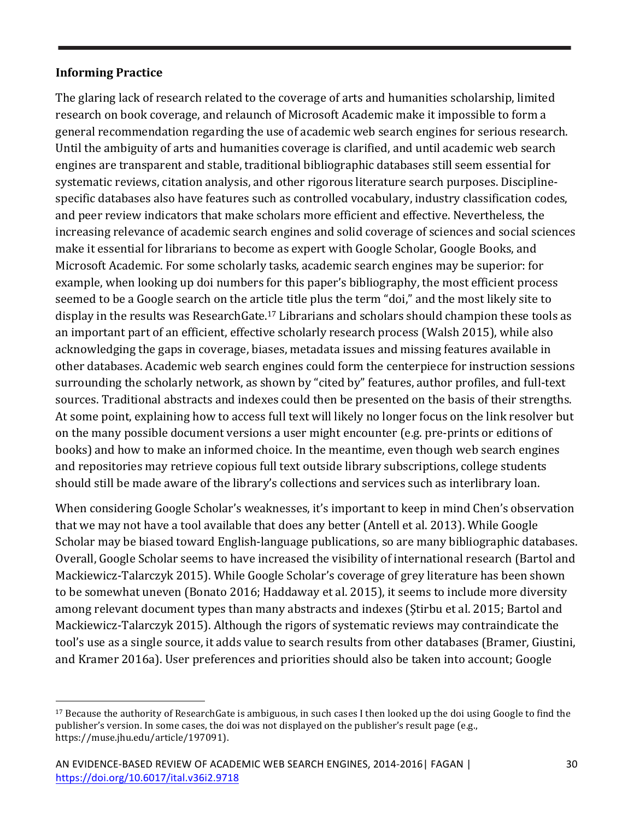#### **Informing Practice**

The glaring lack of research related to the coverage of arts and humanities scholarship, limited research on book coverage, and relaunch of Microsoft Academic make it impossible to form a general recommendation regarding the use of academic web search engines for serious research. Until the ambiguity of arts and humanities coverage is clarified, and until academic web search engines are transparent and stable, traditional bibliographic databases still seem essential for systematic reviews, citation analysis, and other rigorous literature search purposes. Disciplinespecific databases also have features such as controlled vocabulary, industry classification codes, and peer review indicators that make scholars more efficient and effective. Nevertheless, the increasing relevance of academic search engines and solid coverage of sciences and social sciences make it essential for librarians to become as expert with Google Scholar, Google Books, and Microsoft Academic. For some scholarly tasks, academic search engines may be superior: for example, when looking up doi numbers for this paper's bibliography, the most efficient process seemed to be a Google search on the article title plus the term "doi," and the most likely site to display in the results was ResearchGate.<sup>17</sup> Librarians and scholars should champion these tools as an important part of an efficient, effective scholarly research process (Walsh 2015), while also acknowledging the gaps in coverage, biases, metadata issues and missing features available in other databases. Academic web search engines could form the centerpiece for instruction sessions surrounding the scholarly network, as shown by "cited by" features, author profiles, and full-text sources. Traditional abstracts and indexes could then be presented on the basis of their strengths. At some point, explaining how to access full text will likely no longer focus on the link resolver but on the many possible document versions a user might encounter (e.g. pre-prints or editions of books) and how to make an informed choice. In the meantime, even though web search engines and repositories may retrieve copious full text outside library subscriptions, college students should still be made aware of the library's collections and services such as interlibrary loan.

When considering Google Scholar's weaknesses, it's important to keep in mind Chen's observation that we may not have a tool available that does any better (Antell et al. 2013). While Google Scholar may be biased toward English-language publications, so are many bibliographic databases. Overall, Google Scholar seems to have increased the visibility of international research (Bartol and Mackiewicz-Talarczyk 2015). While Google Scholar's coverage of grey literature has been shown to be somewhat uneven (Bonato 2016; Haddaway et al. 2015), it seems to include more diversity among relevant document types than many abstracts and indexes (Stirbu et al. 2015; Bartol and Mackiewicz-Talarczyk 2015). Although the rigors of systematic reviews may contraindicate the tool's use as a single source, it adds value to search results from other databases (Bramer, Giustini, and Kramer 2016a). User preferences and priorities should also be taken into account; Google

 $17$  Because the authority of ResearchGate is ambiguous, in such cases I then looked up the doi using Google to find the publisher's version. In some cases, the doi was not displayed on the publisher's result page (e.g., https://muse.jhu.edu/article/197091).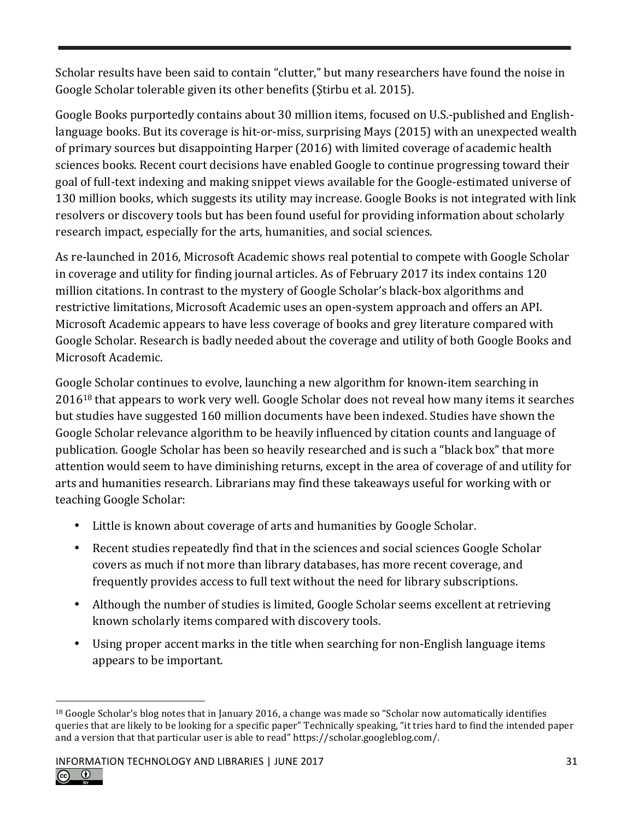Scholar results have been said to contain "clutter," but many researchers have found the noise in Google Scholar tolerable given its other benefits (Stirbu et al. 2015).

Google Books purportedly contains about 30 million items, focused on U.S.-published and Englishlanguage books. But its coverage is hit-or-miss, surprising Mays (2015) with an unexpected wealth of primary sources but disappointing Harper (2016) with limited coverage of academic health sciences books. Recent court decisions have enabled Google to continue progressing toward their goal of full-text indexing and making snippet views available for the Google-estimated universe of 130 million books, which suggests its utility may increase. Google Books is not integrated with link resolvers or discovery tools but has been found useful for providing information about scholarly research impact, especially for the arts, humanities, and social sciences.

As re-launched in 2016, Microsoft Academic shows real potential to compete with Google Scholar in coverage and utility for finding journal articles. As of February 2017 its index contains 120 million citations. In contrast to the mystery of Google Scholar's black-box algorithms and restrictive limitations, Microsoft Academic uses an open-system approach and offers an API. Microsoft Academic appears to have less coverage of books and grey literature compared with Google Scholar. Research is badly needed about the coverage and utility of both Google Books and Microsoft Academic.

Google Scholar continues to evolve, launching a new algorithm for known-item searching in 2016<sup>18</sup> that appears to work very well. Google Scholar does not reveal how many items it searches but studies have suggested 160 million documents have been indexed. Studies have shown the Google Scholar relevance algorithm to be heavily influenced by citation counts and language of publication. Google Scholar has been so heavily researched and is such a "black box" that more attention would seem to have diminishing returns, except in the area of coverage of and utility for arts and humanities research. Librarians may find these takeaways useful for working with or teaching Google Scholar:

- Little is known about coverage of arts and humanities by Google Scholar.
- Recent studies repeatedly find that in the sciences and social sciences Google Scholar covers as much if not more than library databases, has more recent coverage, and frequently provides access to full text without the need for library subscriptions.
- Although the number of studies is limited, Google Scholar seems excellent at retrieving known scholarly items compared with discovery tools.
- Using proper accent marks in the title when searching for non-English language items appears to be important.



<sup>&</sup>lt;sup>18</sup> Google Scholar's blog notes that in January 2016, a change was made so "Scholar now automatically identifies queries that are likely to be looking for a specific paper" Technically speaking, "it tries hard to find the intended paper and a version that that particular user is able to read" https://scholar.googleblog.com/.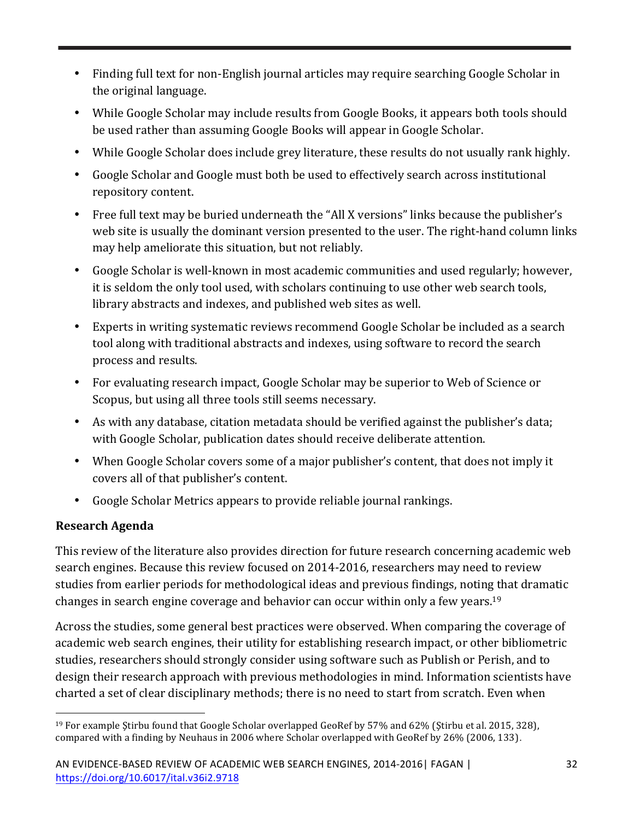- Finding full text for non-English journal articles may require searching Google Scholar in the original language.
- While Google Scholar may include results from Google Books, it appears both tools should be used rather than assuming Google Books will appear in Google Scholar.
- While Google Scholar does include grey literature, these results do not usually rank highly.
- Google Scholar and Google must both be used to effectively search across institutional repository content.
- Free full text may be buried underneath the "All X versions" links because the publisher's web site is usually the dominant version presented to the user. The right-hand column links may help ameliorate this situation, but not reliably.
- Google Scholar is well-known in most academic communities and used regularly; however, it is seldom the only tool used, with scholars continuing to use other web search tools, library abstracts and indexes, and published web sites as well.
- Experts in writing systematic reviews recommend Google Scholar be included as a search tool along with traditional abstracts and indexes, using software to record the search process and results.
- For evaluating research impact, Google Scholar may be superior to Web of Science or Scopus, but using all three tools still seems necessary.
- As with any database, citation metadata should be verified against the publisher's data; with Google Scholar, publication dates should receive deliberate attention.
- When Google Scholar covers some of a major publisher's content, that does not imply it covers all of that publisher's content.
- Google Scholar Metrics appears to provide reliable journal rankings.

## **Research Agenda**

<u> 1989 - Johann Barn, mars ann an t-Amhain an t-Amhain an t-Amhain an t-Amhain an t-Amhain an t-Amhain an t-Amh</u>

This review of the literature also provides direction for future research concerning academic web search engines. Because this review focused on 2014-2016, researchers may need to review studies from earlier periods for methodological ideas and previous findings, noting that dramatic changes in search engine coverage and behavior can occur within only a few years.<sup>19</sup>

Across the studies, some general best practices were observed. When comparing the coverage of academic web search engines, their utility for establishing research impact, or other bibliometric studies, researchers should strongly consider using software such as Publish or Perish, and to design their research approach with previous methodologies in mind. Information scientists have charted a set of clear disciplinary methods; there is no need to start from scratch. Even when

<sup>&</sup>lt;sup>19</sup> For example Stirbu found that Google Scholar overlapped GeoRef by 57% and 62% (Stirbu et al. 2015, 328), compared with a finding by Neuhaus in 2006 where Scholar overlapped with GeoRef by 26% (2006, 133).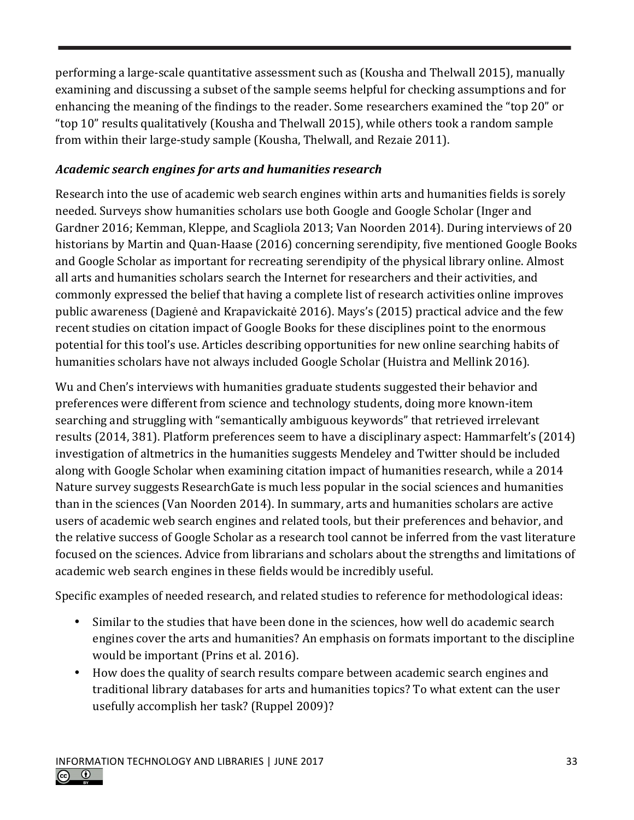performing a large-scale quantitative assessment such as (Kousha and Thelwall 2015), manually examining and discussing a subset of the sample seems helpful for checking assumptions and for enhancing the meaning of the findings to the reader. Some researchers examined the "top 20" or "top 10" results qualitatively (Kousha and Thelwall 2015), while others took a random sample from within their large-study sample (Kousha, Thelwall, and Rezaie 2011).

#### *Academic search engines for arts and humanities research*

Research into the use of academic web search engines within arts and humanities fields is sorely needed. Surveys show humanities scholars use both Google and Google Scholar (Inger and Gardner 2016; Kemman, Kleppe, and Scagliola 2013; Van Noorden 2014). During interviews of 20 historians by Martin and Quan-Haase (2016) concerning serendipity, five mentioned Google Books and Google Scholar as important for recreating serendipity of the physical library online. Almost all arts and humanities scholars search the Internet for researchers and their activities, and commonly expressed the belief that having a complete list of research activities online improves public awareness (Dagienė and Krapavickaitė 2016). Mays's (2015) practical advice and the few recent studies on citation impact of Google Books for these disciplines point to the enormous potential for this tool's use. Articles describing opportunities for new online searching habits of humanities scholars have not always included Google Scholar (Huistra and Mellink 2016).

Wu and Chen's interviews with humanities graduate students suggested their behavior and preferences were different from science and technology students, doing more known-item searching and struggling with "semantically ambiguous keywords" that retrieved irrelevant results (2014, 381). Platform preferences seem to have a disciplinary aspect: Hammarfelt's (2014) investigation of altmetrics in the humanities suggests Mendeley and Twitter should be included along with Google Scholar when examining citation impact of humanities research, while a 2014 Nature survey suggests ResearchGate is much less popular in the social sciences and humanities than in the sciences (Van Noorden 2014). In summary, arts and humanities scholars are active users of academic web search engines and related tools, but their preferences and behavior, and the relative success of Google Scholar as a research tool cannot be inferred from the vast literature focused on the sciences. Advice from librarians and scholars about the strengths and limitations of academic web search engines in these fields would be incredibly useful.

Specific examples of needed research, and related studies to reference for methodological ideas:

- Similar to the studies that have been done in the sciences, how well do academic search engines cover the arts and humanities? An emphasis on formats important to the discipline would be important (Prins et al. 2016).
- How does the quality of search results compare between academic search engines and traditional library databases for arts and humanities topics? To what extent can the user usefully accomplish her task? (Ruppel 2009)?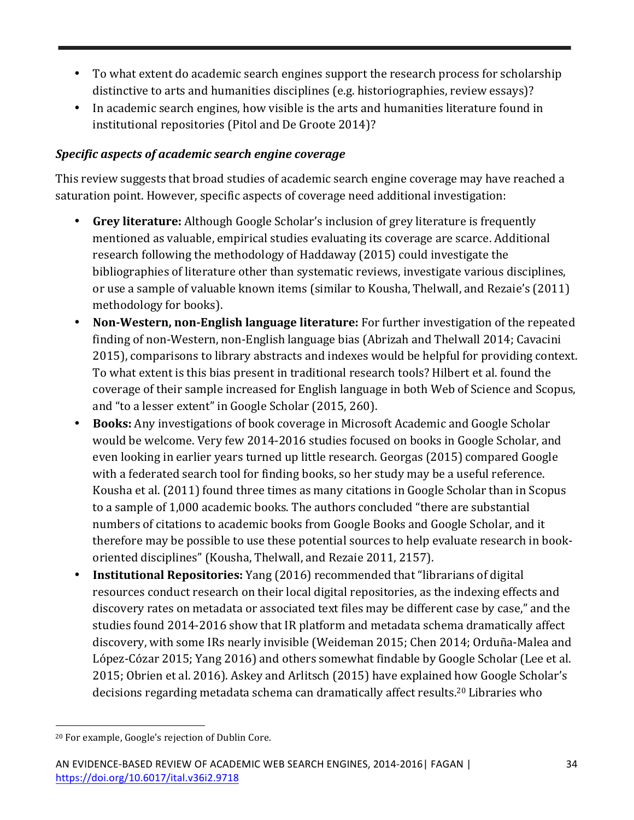- To what extent do academic search engines support the research process for scholarship distinctive to arts and humanities disciplines (e.g. historiographies, review essays)?
- In academic search engines, how visible is the arts and humanities literature found in institutional repositories (Pitol and De Groote 2014)?

## *Specific aspects of academic search engine coverage*

This review suggests that broad studies of academic search engine coverage may have reached a saturation point. However, specific aspects of coverage need additional investigation:

- Grey literature: Although Google Scholar's inclusion of grey literature is frequently mentioned as valuable, empirical studies evaluating its coverage are scarce. Additional research following the methodology of Haddaway (2015) could investigate the bibliographies of literature other than systematic reviews, investigate various disciplines, or use a sample of valuable known items (similar to Kousha, Thelwall, and Rezaie's (2011) methodology for books).
- **Non-Western, non-English language literature:** For further investigation of the repeated finding of non-Western, non-English language bias (Abrizah and Thelwall 2014; Cavacini 2015), comparisons to library abstracts and indexes would be helpful for providing context. To what extent is this bias present in traditional research tools? Hilbert et al. found the coverage of their sample increased for English language in both Web of Science and Scopus, and "to a lesser extent" in Google Scholar (2015, 260).
- **Books:** Any investigations of book coverage in Microsoft Academic and Google Scholar would be welcome. Very few 2014-2016 studies focused on books in Google Scholar, and even looking in earlier years turned up little research. Georgas (2015) compared Google with a federated search tool for finding books, so her study may be a useful reference. Kousha et al. (2011) found three times as many citations in Google Scholar than in Scopus to a sample of 1,000 academic books. The authors concluded "there are substantial numbers of citations to academic books from Google Books and Google Scholar, and it therefore may be possible to use these potential sources to help evaluate research in bookoriented disciplines" (Kousha, Thelwall, and Rezaie 2011, 2157).
- **Institutional Repositories:** Yang (2016) recommended that "librarians of digital resources conduct research on their local digital repositories, as the indexing effects and discovery rates on metadata or associated text files may be different case by case," and the studies found 2014-2016 show that IR platform and metadata schema dramatically affect discovery, with some IRs nearly invisible (Weideman 2015; Chen 2014; Orduña-Malea and López-Cózar 2015; Yang 2016) and others somewhat findable by Google Scholar (Lee et al. 2015; Obrien et al. 2016). Askey and Arlitsch (2015) have explained how Google Scholar's decisions regarding metadata schema can dramatically affect results.<sup>20</sup> Libraries who

<sup>&</sup>lt;u> 1989 - Johann Barn, mars ann an t-Amhain an t-Amhain an t-Amhain an t-Amhain an t-Amhain an t-Amhain an t-Amh</u> <sup>20</sup> For example, Google's rejection of Dublin Core.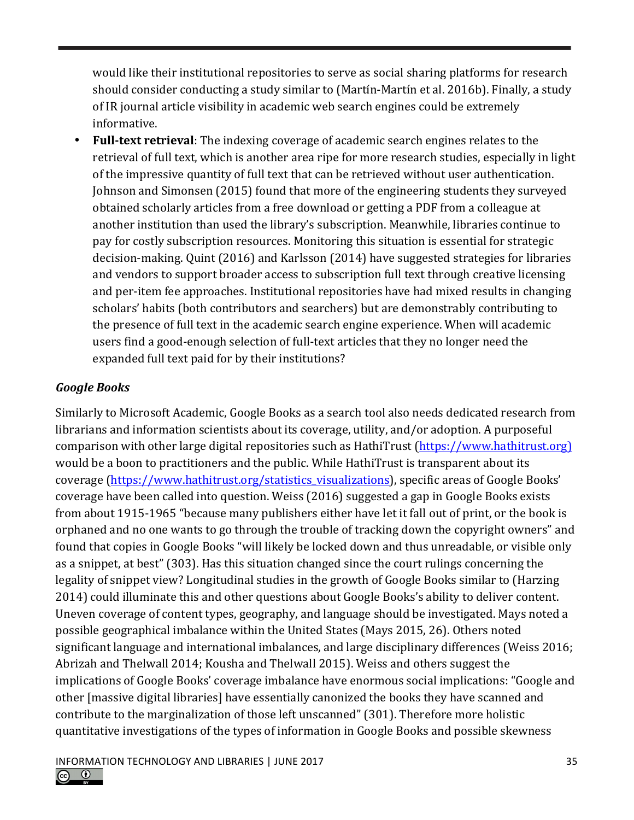would like their institutional repositories to serve as social sharing platforms for research should consider conducting a study similar to (Martín-Martín et al. 2016b). Finally, a study of IR journal article visibility in academic web search engines could be extremely informative.

**Full-text retrieval:** The indexing coverage of academic search engines relates to the retrieval of full text, which is another area ripe for more research studies, especially in light of the impressive quantity of full text that can be retrieved without user authentication. Johnson and Simonsen (2015) found that more of the engineering students they surveyed obtained scholarly articles from a free download or getting a PDF from a colleague at another institution than used the library's subscription. Meanwhile, libraries continue to pay for costly subscription resources. Monitoring this situation is essential for strategic decision-making. Quint (2016) and Karlsson (2014) have suggested strategies for libraries and vendors to support broader access to subscription full text through creative licensing and per-item fee approaches. Institutional repositories have had mixed results in changing scholars' habits (both contributors and searchers) but are demonstrably contributing to the presence of full text in the academic search engine experience. When will academic users find a good-enough selection of full-text articles that they no longer need the expanded full text paid for by their institutions?

#### *Google Books*

Similarly to Microsoft Academic, Google Books as a search tool also needs dedicated research from librarians and information scientists about its coverage, utility, and/or adoption. A purposeful comparison with other large digital repositories such as HathiTrust (https://www.hathitrust.org) would be a boon to practitioners and the public. While HathiTrust is transparent about its coverage (https://www.hathitrust.org/statistics\_visualizations), specific areas of Google Books' coverage have been called into question. Weiss (2016) suggested a gap in Google Books exists from about 1915-1965 "because many publishers either have let it fall out of print, or the book is orphaned and no one wants to go through the trouble of tracking down the copyright owners" and found that copies in Google Books "will likely be locked down and thus unreadable, or visible only as a snippet, at best" (303). Has this situation changed since the court rulings concerning the legality of snippet view? Longitudinal studies in the growth of Google Books similar to (Harzing 2014) could illuminate this and other questions about Google Books's ability to deliver content. Uneven coverage of content types, geography, and language should be investigated. Mays noted a possible geographical imbalance within the United States (Mays 2015, 26). Others noted significant language and international imbalances, and large disciplinary differences (Weiss 2016; Abrizah and Thelwall 2014; Kousha and Thelwall 2015). Weiss and others suggest the implications of Google Books' coverage imbalance have enormous social implications: "Google and other [massive digital libraries] have essentially canonized the books they have scanned and contribute to the marginalization of those left unscanned" (301). Therefore more holistic quantitative investigations of the types of information in Google Books and possible skewness

INFORMATION TECHNOLOGY AND LIBRARIES | JUNE 2017 **35** 35

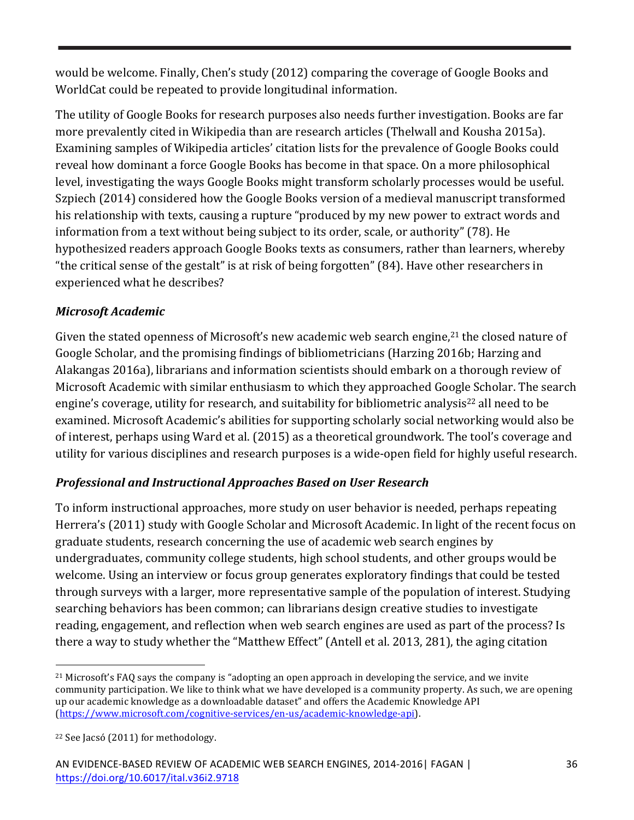would be welcome. Finally, Chen's study (2012) comparing the coverage of Google Books and WorldCat could be repeated to provide longitudinal information.

The utility of Google Books for research purposes also needs further investigation. Books are far more prevalently cited in Wikipedia than are research articles (Thelwall and Kousha 2015a). Examining samples of Wikipedia articles' citation lists for the prevalence of Google Books could reveal how dominant a force Google Books has become in that space. On a more philosophical level, investigating the ways Google Books might transform scholarly processes would be useful. Szpiech (2014) considered how the Google Books version of a medieval manuscript transformed his relationship with texts, causing a rupture "produced by my new power to extract words and information from a text without being subject to its order, scale, or authority" (78). He hypothesized readers approach Google Books texts as consumers, rather than learners, whereby "the critical sense of the gestalt" is at risk of being forgotten" (84). Have other researchers in experienced what he describes?

## *Microsoft Academic*

Given the stated openness of Microsoft's new academic web search engine,<sup>21</sup> the closed nature of Google Scholar, and the promising findings of bibliometricians (Harzing 2016b; Harzing and Alakangas 2016a), librarians and information scientists should embark on a thorough review of Microsoft Academic with similar enthusiasm to which they approached Google Scholar. The search engine's coverage, utility for research, and suitability for bibliometric analysis<sup>22</sup> all need to be examined. Microsoft Academic's abilities for supporting scholarly social networking would also be of interest, perhaps using Ward et al. (2015) as a theoretical groundwork. The tool's coverage and utility for various disciplines and research purposes is a wide-open field for highly useful research.

## **Professional and Instructional Approaches Based on User Research**

To inform instructional approaches, more study on user behavior is needed, perhaps repeating Herrera's (2011) study with Google Scholar and Microsoft Academic. In light of the recent focus on graduate students, research concerning the use of academic web search engines by undergraduates, community college students, high school students, and other groups would be welcome. Using an interview or focus group generates exploratory findings that could be tested through surveys with a larger, more representative sample of the population of interest. Studying searching behaviors has been common; can librarians design creative studies to investigate reading, engagement, and reflection when web search engines are used as part of the process? Is there a way to study whether the "Matthew Effect" (Antell et al. 2013, 281), the aging citation

 $21$  Microsoft's FAQ says the company is "adopting an open approach in developing the service, and we invite community participation. We like to think what we have developed is a community property. As such, we are opening up our academic knowledge as a downloadable dataset" and offers the Academic Knowledge API (https://www.microsoft.com/cognitive-services/en-us/academic-knowledge-api). 

<sup>&</sup>lt;sup>22</sup> See Jacsó (2011) for methodology.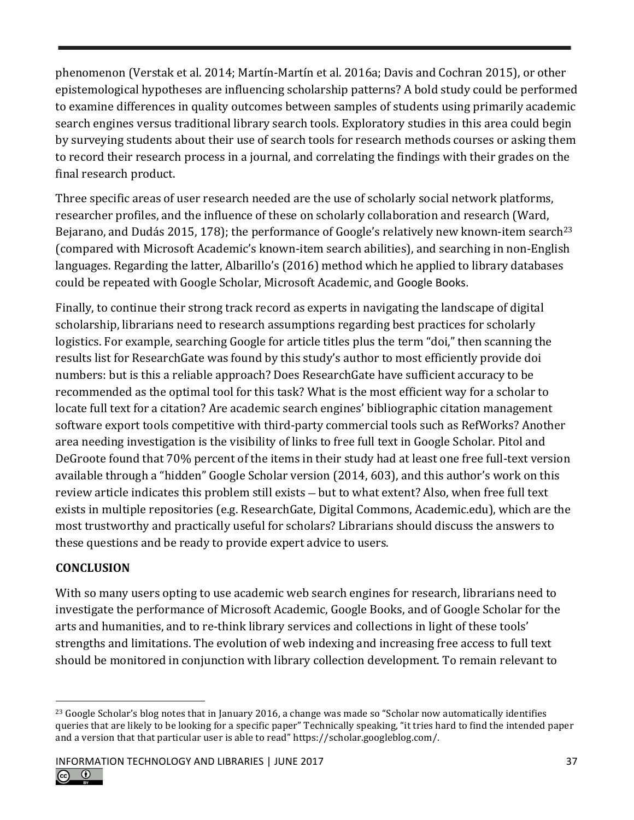phenomenon (Verstak et al. 2014; Martín-Martín et al. 2016a; Davis and Cochran 2015), or other epistemological hypotheses are influencing scholarship patterns? A bold study could be performed to examine differences in quality outcomes between samples of students using primarily academic search engines versus traditional library search tools. Exploratory studies in this area could begin by surveying students about their use of search tools for research methods courses or asking them to record their research process in a journal, and correlating the findings with their grades on the final research product.

Three specific areas of user research needed are the use of scholarly social network platforms, researcher profiles, and the influence of these on scholarly collaboration and research (Ward, Bejarano, and Dudás 2015, 178); the performance of Google's relatively new known-item search<sup>23</sup> (compared with Microsoft Academic's known-item search abilities), and searching in non-English languages. Regarding the latter, Albarillo's (2016) method which he applied to library databases could be repeated with Google Scholar, Microsoft Academic, and Google Books.

Finally, to continue their strong track record as experts in navigating the landscape of digital scholarship, librarians need to research assumptions regarding best practices for scholarly logistics. For example, searching Google for article titles plus the term "doi," then scanning the results list for ResearchGate was found by this study's author to most efficiently provide doi numbers: but is this a reliable approach? Does ResearchGate have sufficient accuracy to be recommended as the optimal tool for this task? What is the most efficient way for a scholar to locate full text for a citation? Are academic search engines' bibliographic citation management software export tools competitive with third-party commercial tools such as RefWorks? Another area needing investigation is the visibility of links to free full text in Google Scholar. Pitol and DeGroote found that 70% percent of the items in their study had at least one free full-text version available through a "hidden" Google Scholar version (2014, 603), and this author's work on this review article indicates this problem still exists - but to what extent? Also, when free full text exists in multiple repositories (e.g. ResearchGate, Digital Commons, Academic.edu), which are the most trustworthy and practically useful for scholars? Librarians should discuss the answers to these questions and be ready to provide expert advice to users.

## **CONCLUSION**

<u> 1989 - Johann Barn, mars ann an t-Amhain an t-Amhain an t-Amhain an t-Amhain an t-Amhain an t-Amhain an t-Amh</u>

With so many users opting to use academic web search engines for research, librarians need to investigate the performance of Microsoft Academic, Google Books, and of Google Scholar for the arts and humanities, and to re-think library services and collections in light of these tools' strengths and limitations. The evolution of web indexing and increasing free access to full text should be monitored in conjunction with library collection development. To remain relevant to



 $23$  Google Scholar's blog notes that in January 2016, a change was made so "Scholar now automatically identifies queries that are likely to be looking for a specific paper" Technically speaking, "it tries hard to find the intended paper and a version that that particular user is able to read" https://scholar.googleblog.com/.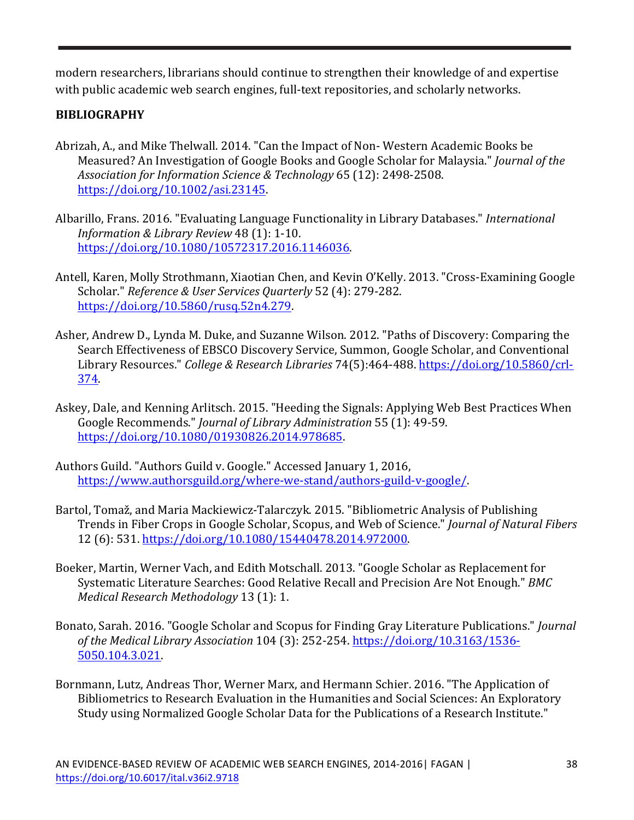modern researchers, librarians should continue to strengthen their knowledge of and expertise with public academic web search engines, full-text repositories, and scholarly networks.

#### **BIBLIOGRAPHY**

- Abrizah, A., and Mike Thelwall. 2014. "Can the Impact of Non- Western Academic Books be Measured? An Investigation of Google Books and Google Scholar for Malaysia." *Journal of the* Association for Information Science & Technology 65 (12): 2498-2508. https://doi.org/10.1002/asi.23145.
- Albarillo, Frans. 2016. "Evaluating Language Functionality in Library Databases." *International Information & Library Review* 48 (1): 1-10. https://doi.org/10.1080/10572317.2016.1146036.
- Antell, Karen, Molly Strothmann, Xiaotian Chen, and Kevin O'Kelly. 2013. "Cross-Examining Google Scholar." *Reference & User Services Quarterly* 52 (4): 279-282. https://doi.org/10.5860/rusq.52n4.279.
- Asher, Andrew D., Lynda M. Duke, and Suzanne Wilson. 2012. "Paths of Discovery: Comparing the Search Effectiveness of EBSCO Discovery Service, Summon, Google Scholar, and Conventional Library Resources." *College & Research Libraries* 74(5):464-488. https://doi.org/10.5860/crl-374.
- Askey, Dale, and Kenning Arlitsch. 2015. "Heeding the Signals: Applying Web Best Practices When Google Recommends." *Journal of Library Administration* 55 (1): 49-59. https://doi.org/10.1080/01930826.2014.978685.
- Authors Guild. "Authors Guild v. Google." Accessed January 1, 2016, https://www.authorsguild.org/where-we-stand/authors-guild-v-google/.
- Bartol, Tomaž, and Maria Mackiewicz-Talarczyk. 2015. "Bibliometric Analysis of Publishing Trends in Fiber Crops in Google Scholar, Scopus, and Web of Science." *Journal of Natural Fibers* 12 (6): 531. https://doi.org/10.1080/15440478.2014.972000.
- Boeker, Martin, Werner Vach, and Edith Motschall. 2013. "Google Scholar as Replacement for Systematic Literature Searches: Good Relative Recall and Precision Are Not Enough." *BMC Medical Research Methodology* 13 (1): 1.
- Bonato, Sarah. 2016. "Google Scholar and Scopus for Finding Gray Literature Publications." *Journal of the Medical Library Association* 104 (3): 252-254. https://doi.org/10.3163/1536-5050.104.3.021.
- Bornmann, Lutz, Andreas Thor, Werner Marx, and Hermann Schier. 2016. "The Application of Bibliometrics to Research Evaluation in the Humanities and Social Sciences: An Exploratory Study using Normalized Google Scholar Data for the Publications of a Research Institute."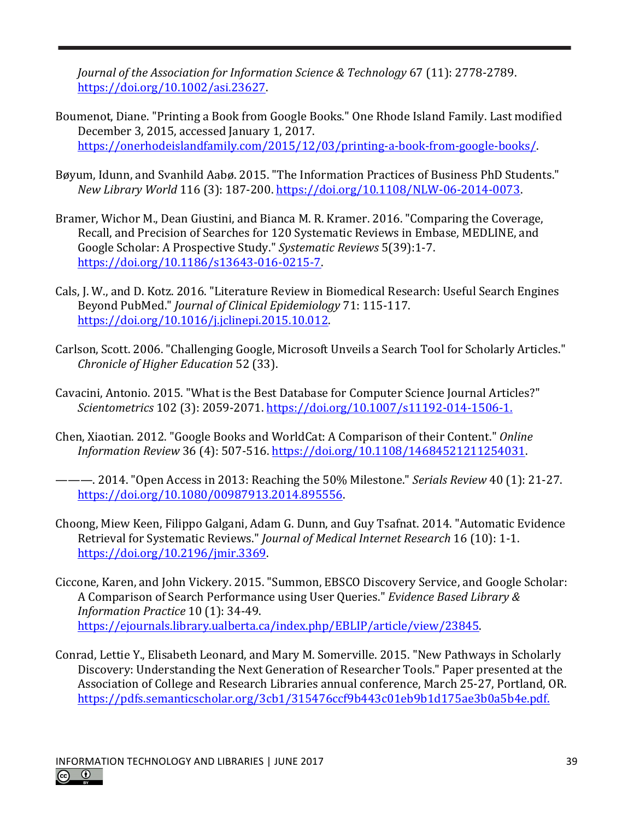*Journal of the Association for Information Science & Technology* 67 (11): 2778-2789. https://doi.org/10.1002/asi.23627. 

- Boumenot, Diane. "Printing a Book from Google Books." One Rhode Island Family. Last modified December 3, 2015, accessed January 1, 2017. https://onerhodeislandfamily.com/2015/12/03/printing-a-book-from-google-books/.
- Bøyum, Idunn, and Svanhild Aabø. 2015. "The Information Practices of Business PhD Students." *New Library World* 116 (3): 187-200. https://doi.org/10.1108/NLW-06-2014-0073.
- Bramer, Wichor M., Dean Giustini, and Bianca M. R. Kramer. 2016. "Comparing the Coverage, Recall, and Precision of Searches for 120 Systematic Reviews in Embase, MEDLINE, and Google Scholar: A Prospective Study." Systematic Reviews 5(39):1-7. https://doi.org/10.1186/s13643-016-0215-7.
- Cals, J. W., and D. Kotz. 2016. "Literature Review in Biomedical Research: Useful Search Engines Beyond PubMed." *Journal of Clinical Epidemiology* 71: 115-117. https://doi.org/10.1016/j.jclinepi.2015.10.012.
- Carlson, Scott. 2006. "Challenging Google, Microsoft Unveils a Search Tool for Scholarly Articles." *Chronicle of Higher Education* 52 (33).
- Cavacini, Antonio. 2015. "What is the Best Database for Computer Science Journal Articles?" *Scientometrics* 102 (3): 2059-2071. https://doi.org/10.1007/s11192-014-1506-1.
- Chen, Xiaotian. 2012. "Google Books and WorldCat: A Comparison of their Content." *Online Information Review* 36 (4): 507-516. https://doi.org/10.1108/14684521211254031.
- ———. 2014. "Open Access in 2013: Reaching the 50% Milestone." *Serials Review* 40 (1): 21-27. https://doi.org/10.1080/00987913.2014.895556.
- Choong, Miew Keen, Filippo Galgani, Adam G. Dunn, and Guy Tsafnat. 2014. "Automatic Evidence Retrieval for Systematic Reviews." *Journal of Medical Internet Research* 16 (10): 1-1. https://doi.org/10.2196/jmir.3369.
- Ciccone, Karen, and John Vickery. 2015. "Summon, EBSCO Discovery Service, and Google Scholar: A Comparison of Search Performance using User Queries." *Evidence Based Library & Information Practice* 10 (1): 34-49. https://ejournals.library.ualberta.ca/index.php/EBLIP/article/view/23845.
- Conrad, Lettie Y., Elisabeth Leonard, and Mary M. Somerville. 2015. "New Pathways in Scholarly Discovery: Understanding the Next Generation of Researcher Tools." Paper presented at the Association of College and Research Libraries annual conference, March 25-27, Portland, OR. https://pdfs.semanticscholar.org/3cb1/315476ccf9b443c01eb9b1d175ae3b0a5b4e.pdf.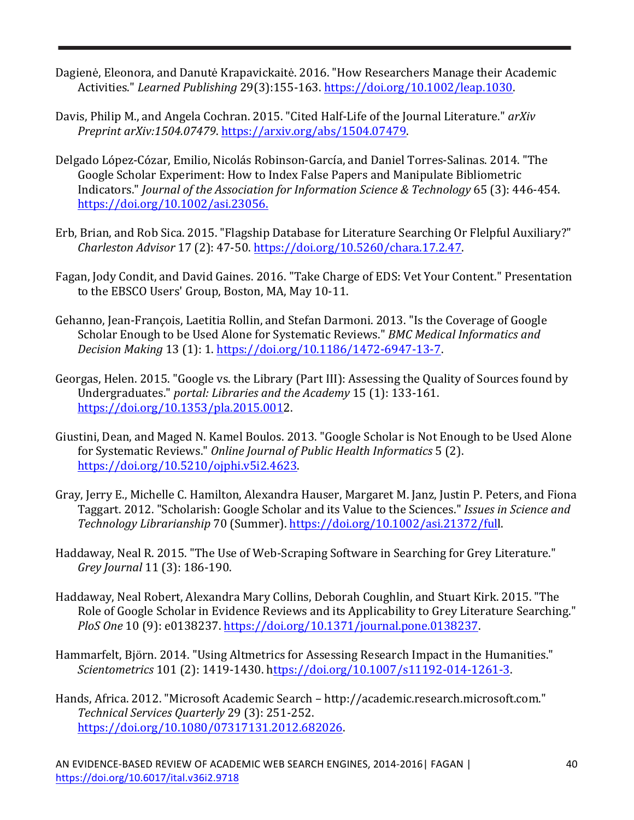- Dagienė, Eleonora, and Danutė Krapavickaitė. 2016. "How Researchers Manage their Academic Activities." *Learned Publishing* 29(3):155-163. https://doi.org/10.1002/leap.1030.
- Davis, Philip M., and Angela Cochran. 2015. "Cited Half-Life of the Journal Literature." *arXiv Preprint arXiv:1504.07479*. https://arxiv.org/abs/1504.07479.
- Delgado López-Cózar, Emilio, Nicolás Robinson-García, and Daniel Torres-Salinas. 2014. "The Google Scholar Experiment: How to Index False Papers and Manipulate Bibliometric Indicators." *Journal of the Association for Information Science & Technology* 65 (3): 446-454. https://doi.org/10.1002/asi.23056.
- Erb, Brian, and Rob Sica. 2015. "Flagship Database for Literature Searching Or Flelpful Auxiliary?" *Charleston Advisor* 17 (2): 47-50. https://doi.org/10.5260/chara.17.2.47.
- Fagan, Jody Condit, and David Gaines. 2016. "Take Charge of EDS: Vet Your Content." Presentation to the EBSCO Users' Group, Boston, MA, May 10-11.
- Gehanno, Jean-François, Laetitia Rollin, and Stefan Darmoni. 2013. "Is the Coverage of Google Scholar Enough to be Used Alone for Systematic Reviews." *BMC Medical Informatics and Decision Making* 13 (1): 1. https://doi.org/10.1186/1472-6947-13-7.
- Georgas, Helen. 2015. "Google vs. the Library (Part III): Assessing the Quality of Sources found by Undergraduates." *portal: Libraries and the Academy* 15 (1): 133-161. https://doi.org/10.1353/pla.2015.0012.
- Giustini, Dean, and Maged N. Kamel Boulos. 2013. "Google Scholar is Not Enough to be Used Alone for Systematic Reviews." Online Journal of Public Health Informatics 5 (2). https://doi.org/10.5210/ojphi.v5i2.4623.
- Gray, Jerry E., Michelle C. Hamilton, Alexandra Hauser, Margaret M. Janz, Justin P. Peters, and Fiona Taggart. 2012. "Scholarish: Google Scholar and its Value to the Sciences." *Issues in Science and Technology Librarianship* 70 (Summer). https://doi.org/10.1002/asi.21372/full.
- Haddaway, Neal R. 2015. "The Use of Web-Scraping Software in Searching for Grey Literature." *Grey Journal* 11 (3): 186-190.
- Haddaway, Neal Robert, Alexandra Mary Collins, Deborah Coughlin, and Stuart Kirk. 2015. "The Role of Google Scholar in Evidence Reviews and its Applicability to Grey Literature Searching." *PloS* One 10 (9): e0138237. https://doi.org/10.1371/journal.pone.0138237.
- Hammarfelt, Björn. 2014. "Using Altmetrics for Assessing Research Impact in the Humanities." *Scientometrics* 101 (2): 1419-1430. https://doi.org/10.1007/s11192-014-1261-3.
- Hands, Africa. 2012. "Microsoft Academic Search http://academic.research.microsoft.com." *Technical Services Quarterly* 29 (3): 251-252. https://doi.org/10.1080/07317131.2012.682026.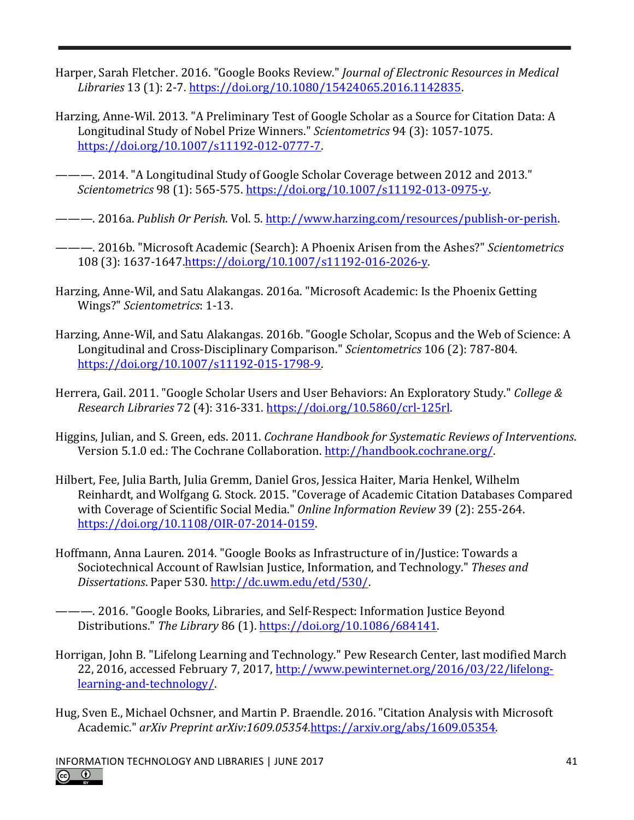- Harper, Sarah Fletcher. 2016. "Google Books Review." *Journal of Electronic Resources in Medical Libraries* 13 (1): 2-7. https://doi.org/10.1080/15424065.2016.1142835.
- Harzing, Anne-Wil. 2013. "A Preliminary Test of Google Scholar as a Source for Citation Data: A Longitudinal Study of Nobel Prize Winners." Scientometrics 94 (3): 1057-1075. https://doi.org/10.1007/s11192-012-0777-7.
- ———. 2014. "A Longitudinal Study of Google Scholar Coverage between 2012 and 2013." *Scientometrics* 98 (1): 565-575. https://doi.org/10.1007/s11192-013-0975-y.
- ———. 2016a. *Publish Or Perish*. Vol. 5. http://www.harzing.com/resources/publish-or-perish.
- ———. 2016b. "Microsoft Academic (Search): A Phoenix Arisen from the Ashes?" *Scientometrics* 108 (3): 1637-1647.https://doi.org/10.1007/s11192-016-2026-y.
- Harzing, Anne-Wil, and Satu Alakangas. 2016a. "Microsoft Academic: Is the Phoenix Getting Wings?" *Scientometrics*: 1-13.
- Harzing, Anne-Wil, and Satu Alakangas. 2016b. "Google Scholar, Scopus and the Web of Science: A Longitudinal and Cross-Disciplinary Comparison." *Scientometrics* 106 (2): 787-804. https://doi.org/10.1007/s11192-015-1798-9.
- Herrera, Gail. 2011. "Google Scholar Users and User Behaviors: An Exploratory Study." College & *Research Libraries* 72 (4): 316-331. https://doi.org/10.5860/crl-125rl.
- Higgins, Julian, and S. Green, eds. 2011. *Cochrane Handbook for Systematic Reviews of Interventions*. Version 5.1.0 ed.: The Cochrane Collaboration. http://handbook.cochrane.org/.
- Hilbert, Fee, Julia Barth, Julia Gremm, Daniel Gros, Jessica Haiter, Maria Henkel, Wilhelm Reinhardt, and Wolfgang G. Stock. 2015. "Coverage of Academic Citation Databases Compared with Coverage of Scientific Social Media." Online Information Review 39 (2): 255-264. https://doi.org/10.1108/OIR-07-2014-0159.
- Hoffmann, Anna Lauren. 2014. "Google Books as Infrastructure of in/Justice: Towards a Sociotechnical Account of Rawlsian Justice, Information, and Technology." Theses and *Dissertations*. Paper 530. http://dc.uwm.edu/etd/530/.
- -- 12016. "Google Books, Libraries, and Self-Respect: Information Justice Beyond Distributions." The Library 86 (1). https://doi.org/10.1086/684141.
- Horrigan, John B. "Lifelong Learning and Technology." Pew Research Center, last modified March 22, 2016, accessed February 7, 2017, http://www.pewinternet.org/2016/03/22/lifelonglearning-and-technology/.
- Hug, Sven E., Michael Ochsner, and Martin P. Braendle. 2016. "Citation Analysis with Microsoft Academic." *arXiv Preprint arXiv:1609.05354.https://arxiv.org/abs/1609.05354.*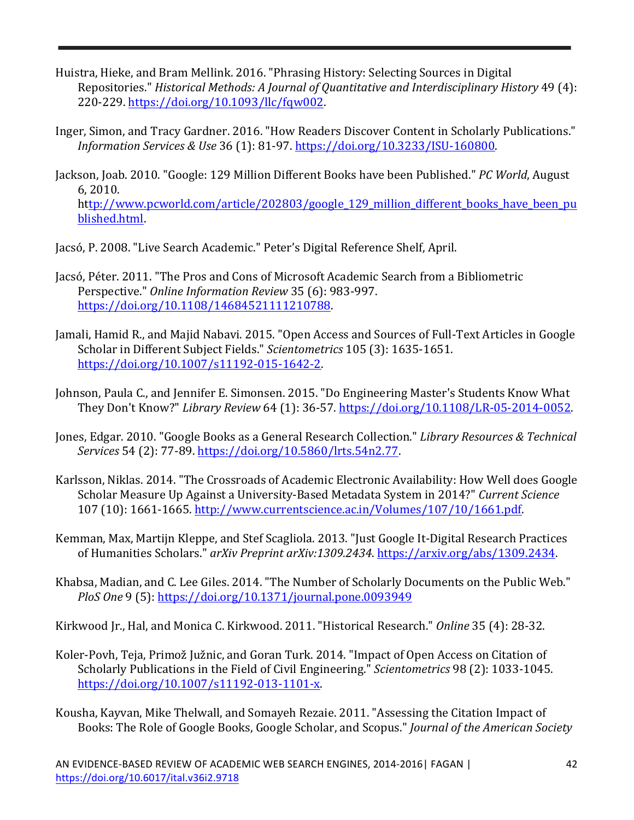- Huistra, Hieke, and Bram Mellink. 2016. "Phrasing History: Selecting Sources in Digital Repositories." *Historical Methods: A Journal of Quantitative and Interdisciplinary History* 49 (4): 220-229. https://doi.org/10.1093/llc/fqw002.
- Inger, Simon, and Tracy Gardner. 2016. "How Readers Discover Content in Scholarly Publications." *Information Services & Use* 36 (1): 81-97. https://doi.org/10.3233/ISU-160800.
- Jackson, Joab. 2010. "Google: 129 Million Different Books have been Published." PC World, August 6, 2010. http://www.pcworld.com/article/202803/google\_129\_million\_different\_books\_have\_been\_pu blished.html.

Jacsó, P. 2008. "Live Search Academic." Peter's Digital Reference Shelf, April.

- Jacsó, Péter. 2011. "The Pros and Cons of Microsoft Academic Search from a Bibliometric Perspective." Online Information Review 35 (6): 983-997. https://doi.org/10.1108/14684521111210788.
- Jamali, Hamid R., and Majid Nabavi. 2015. "Open Access and Sources of Full-Text Articles in Google Scholar in Different Subject Fields." Scientometrics 105 (3): 1635-1651. https://doi.org/10.1007/s11192-015-1642-2.
- Johnson, Paula C., and Jennifer E. Simonsen. 2015. "Do Engineering Master's Students Know What They Don't Know?" *Library Review* 64 (1): 36-57. https://doi.org/10.1108/LR-05-2014-0052.
- Jones, Edgar. 2010. "Google Books as a General Research Collection." *Library Resources & Technical Services* 54 (2): 77-89. https://doi.org/10.5860/lrts.54n2.77.
- Karlsson, Niklas. 2014. "The Crossroads of Academic Electronic Availability: How Well does Google Scholar Measure Up Against a University-Based Metadata System in 2014?" Current Science 107 (10): 1661-1665. http://www.currentscience.ac.in/Volumes/107/10/1661.pdf.
- Kemman, Max, Martijn Kleppe, and Stef Scagliola. 2013. "Just Google It-Digital Research Practices of Humanities Scholars." *arXiv Preprint arXiv:1309.2434.* https://arxiv.org/abs/1309.2434.
- Khabsa, Madian, and C. Lee Giles. 2014. "The Number of Scholarly Documents on the Public Web." *PloS One* 9 (5): https://doi.org/10.1371/journal.pone.0093949
- Kirkwood Jr., Hal, and Monica C. Kirkwood. 2011. "Historical Research." Online 35 (4): 28-32.
- Koler-Povh, Teja, Primož Južnic, and Goran Turk. 2014. "Impact of Open Access on Citation of Scholarly Publications in the Field of Civil Engineering." *Scientometrics* 98 (2): 1033-1045. https://doi.org/10.1007/s11192-013-1101-x.

Kousha, Kayvan, Mike Thelwall, and Somayeh Rezaie. 2011. "Assessing the Citation Impact of Books: The Role of Google Books, Google Scholar, and Scopus." *Journal of the American Society*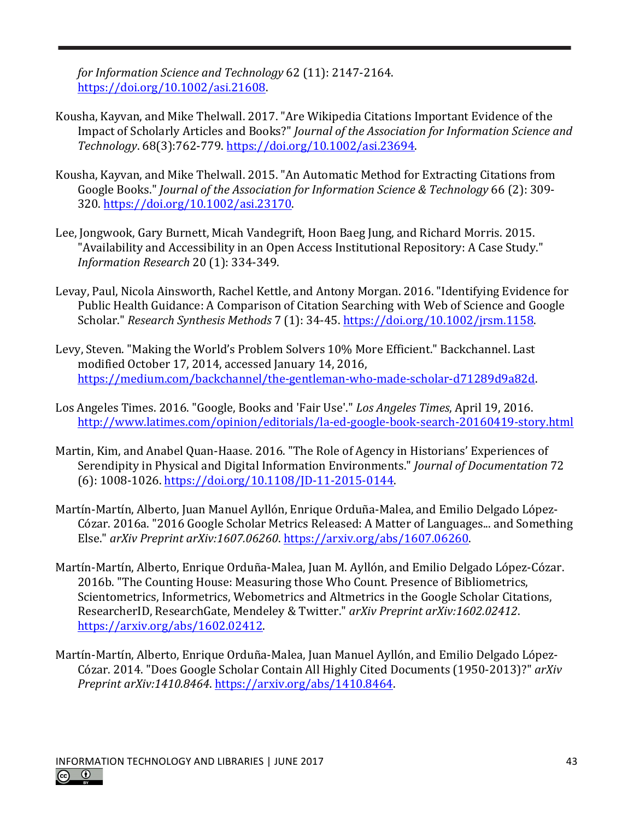*for Information Science and Technology* 62 (11): 2147-2164. https://doi.org/10.1002/asi.21608.

- Kousha, Kayvan, and Mike Thelwall. 2017. "Are Wikipedia Citations Important Evidence of the Impact of Scholarly Articles and Books?" *Journal of the Association for Information Science and Technology*. 68(3):762-779. https://doi.org/10.1002/asi.23694.
- Kousha, Kayvan, and Mike Thelwall. 2015. "An Automatic Method for Extracting Citations from Google Books." *Journal of the Association for Information Science & Technology* 66 (2): 309-320. https://doi.org/10.1002/asi.23170.
- Lee, Jongwook, Gary Burnett, Micah Vandegrift, Hoon Baeg Jung, and Richard Morris. 2015. "Availability and Accessibility in an Open Access Institutional Repository: A Case Study." *Information Research* 20 (1): 334-349.
- Levay, Paul, Nicola Ainsworth, Rachel Kettle, and Antony Morgan. 2016. "Identifying Evidence for Public Health Guidance: A Comparison of Citation Searching with Web of Science and Google Scholar." *Research Synthesis Methods* 7 (1): 34-45. https://doi.org/10.1002/jrsm.1158.
- Levy, Steven. "Making the World's Problem Solvers 10% More Efficient." Backchannel. Last modified October 17, 2014, accessed January 14, 2016, https://medium.com/backchannel/the-gentleman-who-made-scholar-d71289d9a82d.
- Los Angeles Times. 2016. "Google, Books and 'Fair Use'." Los Angeles Times, April 19, 2016. http://www.latimes.com/opinion/editorials/la-ed-google-book-search-20160419-story.html
- Martin, Kim, and Anabel Quan-Haase. 2016. "The Role of Agency in Historians' Experiences of Serendipity in Physical and Digital Information Environments." *Journal of Documentation* 72 (6): 1008-1026. https://doi.org/10.1108/JD-11-2015-0144.
- Martín-Martín, Alberto, Juan Manuel Ayllón, Enrique Orduña-Malea, and Emilio Delgado López-Cózar. 2016a. "2016 Google Scholar Metrics Released: A Matter of Languages... and Something Else." *arXiv Preprint arXiv:1607.06260*. https://arxiv.org/abs/1607.06260.
- Martín-Martín, Alberto, Enrique Orduña-Malea, Juan M. Ayllón, and Emilio Delgado López-Cózar. 2016b. "The Counting House: Measuring those Who Count. Presence of Bibliometrics, Scientometrics, Informetrics, Webometrics and Altmetrics in the Google Scholar Citations, ResearcherID, ResearchGate, Mendeley & Twitter." arXiv Preprint arXiv:1602.02412. https://arxiv.org/abs/1602.02412.
- Martín-Martín, Alberto, Enrique Orduña-Malea, Juan Manuel Ayllón, and Emilio Delgado López-Cózar. 2014. "Does Google Scholar Contain All Highly Cited Documents (1950-2013)?" arXiv *Preprint arXiv:1410.8464*. https://arxiv.org/abs/1410.8464.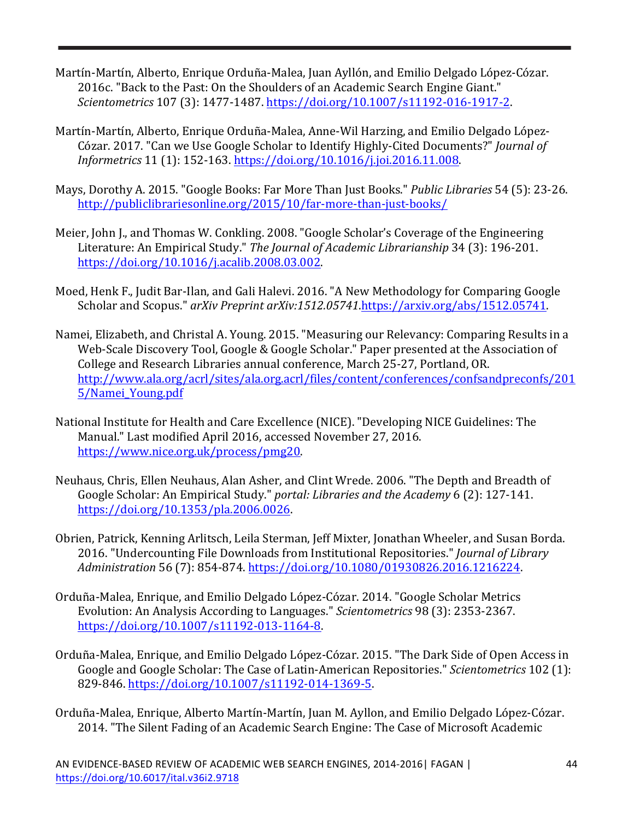- Martín-Martín, Alberto, Enrique Orduña-Malea, Juan Ayllón, and Emilio Delgado López-Cózar. 2016c. "Back to the Past: On the Shoulders of an Academic Search Engine Giant." *Scientometrics* 107 (3): 1477-1487. https://doi.org/10.1007/s11192-016-1917-2.
- Martín-Martín, Alberto, Enrique Orduña-Malea, Anne-Wil Harzing, and Emilio Delgado López-Cózar. 2017. "Can we Use Google Scholar to Identify Highly-Cited Documents?" *Journal of Informetrics* 11 (1): 152-163. https://doi.org/10.1016/j.joi.2016.11.008.
- Mays, Dorothy A. 2015. "Google Books: Far More Than Just Books." *Public Libraries* 54 (5): 23-26. http://publiclibrariesonline.org/2015/10/far-more-than-just-books/
- Meier, John J., and Thomas W. Conkling. 2008. "Google Scholar's Coverage of the Engineering Literature: An Empirical Study." The Journal of Academic Librarianship 34 (3): 196-201. https://doi.org/10.1016/j.acalib.2008.03.002.
- Moed, Henk F., Judit Bar-Ilan, and Gali Halevi. 2016. "A New Methodology for Comparing Google Scholar and Scopus." *arXiv Preprint arXiv:1512.05741.https://arxiv.org/abs/1512.05741.*
- Namei, Elizabeth, and Christal A. Young. 2015. "Measuring our Relevancy: Comparing Results in a Web-Scale Discovery Tool, Google & Google Scholar." Paper presented at the Association of College and Research Libraries annual conference, March 25-27, Portland, OR. http://www.ala.org/acrl/sites/ala.org.acrl/files/content/conferences/confsandpreconfs/201 5/Namei\_Young.pdf
- National Institute for Health and Care Excellence (NICE). "Developing NICE Guidelines: The Manual." Last modified April 2016, accessed November 27, 2016. https://www.nice.org.uk/process/pmg20.
- Neuhaus, Chris, Ellen Neuhaus, Alan Asher, and Clint Wrede. 2006. "The Depth and Breadth of Google Scholar: An Empirical Study." *portal: Libraries and the Academy* 6 (2): 127-141. https://doi.org/10.1353/pla.2006.0026.
- Obrien, Patrick, Kenning Arlitsch, Leila Sterman, Jeff Mixter, Jonathan Wheeler, and Susan Borda. 2016. "Undercounting File Downloads from Institutional Repositories." *Journal of Library Administration* 56 (7): 854-874. https://doi.org/10.1080/01930826.2016.1216224.
- Orduña-Malea, Enrique, and Emilio Delgado López-Cózar. 2014. "Google Scholar Metrics Evolution: An Analysis According to Languages." *Scientometrics* 98 (3): 2353-2367. https://doi.org/10.1007/s11192-013-1164-8.
- Orduña-Malea, Enrique, and Emilio Delgado López-Cózar. 2015. "The Dark Side of Open Access in Google and Google Scholar: The Case of Latin-American Repositories." *Scientometrics* 102 (1): 829-846. https://doi.org/10.1007/s11192-014-1369-5.
- Orduña-Malea, Enrique, Alberto Martín-Martín, Juan M. Ayllon, and Emilio Delgado López-Cózar. 2014. "The Silent Fading of an Academic Search Engine: The Case of Microsoft Academic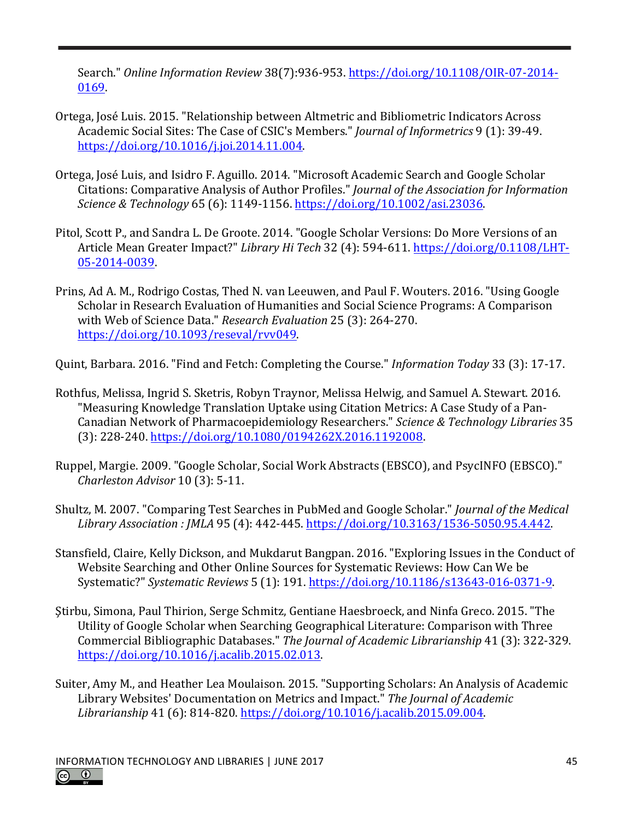Search." Online Information Review 38(7):936-953. https://doi.org/10.1108/OIR-07-2014-0169. 

- Ortega, José Luis. 2015. "Relationship between Altmetric and Bibliometric Indicators Across Academic Social Sites: The Case of CSIC's Members." *Journal of Informetrics* 9 (1): 39-49. https://doi.org/10.1016/j.joi.2014.11.004.
- Ortega, José Luis, and Isidro F. Aguillo. 2014. "Microsoft Academic Search and Google Scholar Citations: Comparative Analysis of Author Profiles." *Journal of the Association for Information Science & Technology* 65 (6): 1149-1156. https://doi.org/10.1002/asi.23036.
- Pitol, Scott P., and Sandra L. De Groote. 2014. "Google Scholar Versions: Do More Versions of an Article Mean Greater Impact?" *Library Hi Tech* 32 (4): 594-611. https://doi.org/0.1108/LHT-05-2014-0039.
- Prins, Ad A. M., Rodrigo Costas, Thed N. van Leeuwen, and Paul F. Wouters. 2016. "Using Google Scholar in Research Evaluation of Humanities and Social Science Programs: A Comparison with Web of Science Data." *Research Evaluation* 25 (3): 264-270. https://doi.org/10.1093/reseval/rvv049.

Quint, Barbara. 2016. "Find and Fetch: Completing the Course." *Information Today* 33 (3): 17-17.

- Rothfus, Melissa, Ingrid S. Sketris, Robyn Traynor, Melissa Helwig, and Samuel A. Stewart. 2016. "Measuring Knowledge Translation Uptake using Citation Metrics: A Case Study of a Pan-Canadian Network of Pharmacoepidemiology Researchers." *Science & Technology Libraries* 35 (3): 228-240. https://doi.org/10.1080/0194262X.2016.1192008.
- Ruppel, Margie. 2009. "Google Scholar, Social Work Abstracts (EBSCO), and PsycINFO (EBSCO)." *Charleston Advisor* 10 (3): 5-11.
- Shultz, M. 2007. "Comparing Test Searches in PubMed and Google Scholar." *Journal of the Medical Library Association : JMLA* 95 (4): 442-445. https://doi.org/10.3163/1536-5050.95.4.442.
- Stansfield, Claire, Kelly Dickson, and Mukdarut Bangpan. 2016. "Exploring Issues in the Conduct of Website Searching and Other Online Sources for Systematic Reviews: How Can We be Systematic?" *Systematic Reviews* 5 (1): 191. https://doi.org/10.1186/s13643-016-0371-9.
- Stirbu, Simona, Paul Thirion, Serge Schmitz, Gentiane Haesbroeck, and Ninfa Greco. 2015. "The Utility of Google Scholar when Searching Geographical Literature: Comparison with Three Commercial Bibliographic Databases." The Journal of Academic Librarianship 41 (3): 322-329. https://doi.org/10.1016/j.acalib.2015.02.013.
- Suiter, Amy M., and Heather Lea Moulaison. 2015. "Supporting Scholars: An Analysis of Academic Library Websites' Documentation on Metrics and Impact." The Journal of Academic *Librarianship* 41 (6): 814-820. https://doi.org/10.1016/j.acalib.2015.09.004.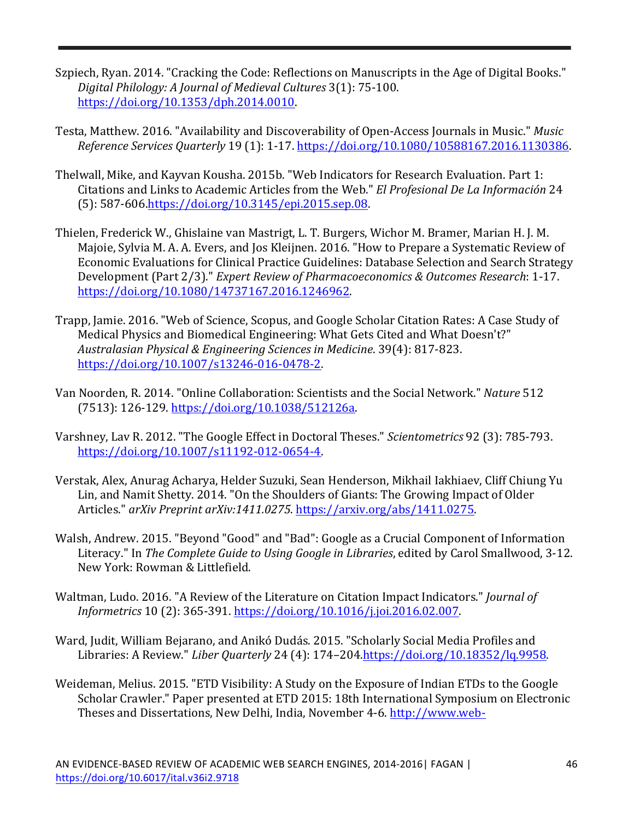- Szpiech, Ryan. 2014. "Cracking the Code: Reflections on Manuscripts in the Age of Digital Books." *Digital Philology: A Journal of Medieval Cultures* 3(1): 75-100. https://doi.org/10.1353/dph.2014.0010.
- Testa, Matthew. 2016. "Availability and Discoverability of Open-Access Journals in Music." Music *Reference Services Quarterly* 19 (1): 1-17. https://doi.org/10.1080/10588167.2016.1130386.
- Thelwall, Mike, and Kayvan Kousha. 2015b. "Web Indicators for Research Evaluation. Part 1: Citations and Links to Academic Articles from the Web." *El Profesional De La Información* 24 (5): 587-606.https://doi.org/10.3145/epi.2015.sep.08.
- Thielen, Frederick W., Ghislaine van Mastrigt, L. T. Burgers, Wichor M. Bramer, Marian H. J. M. Majoie, Sylvia M. A. A. Evers, and Jos Kleijnen. 2016. "How to Prepare a Systematic Review of Economic Evaluations for Clinical Practice Guidelines: Database Selection and Search Strategy Development (Part 2/3)." *Expert Review of Pharmacoeconomics & Outcomes Research*: 1-17. https://doi.org/10.1080/14737167.2016.1246962.
- Trapp, Jamie. 2016. "Web of Science, Scopus, and Google Scholar Citation Rates: A Case Study of Medical Physics and Biomedical Engineering: What Gets Cited and What Doesn't?" *Australasian Physical & Engineering Sciences in Medicine*. 39(4): 817-823. https://doi.org/10.1007/s13246-016-0478-2.
- Van Noorden, R. 2014. "Online Collaboration: Scientists and the Social Network." Nature 512 (7513): 126-129. https://doi.org/10.1038/512126a.
- Varshney, Lav R. 2012. "The Google Effect in Doctoral Theses." *Scientometrics* 92 (3): 785-793. https://doi.org/10.1007/s11192-012-0654-4.
- Verstak, Alex, Anurag Acharya, Helder Suzuki, Sean Henderson, Mikhail Iakhiaev, Cliff Chiung Yu Lin, and Namit Shetty. 2014. "On the Shoulders of Giants: The Growing Impact of Older Articles." *arXiv Preprint arXiv:1411.0275.* https://arxiv.org/abs/1411.0275.
- Walsh, Andrew. 2015. "Beyond "Good" and "Bad": Google as a Crucial Component of Information Literacy." In *The Complete Guide to Using Google in Libraries*, edited by Carol Smallwood, 3-12. New York: Rowman & Littlefield.
- Waltman, Ludo. 2016. "A Review of the Literature on Citation Impact Indicators." *Journal of Informetrics* 10 (2): 365-391. https://doi.org/10.1016/j.joi.2016.02.007.
- Ward, Judit, William Bejarano, and Anikó Dudás. 2015. "Scholarly Social Media Profiles and Libraries: A Review." *Liber Quarterly* 24 (4): 174–204.https://doi.org/10.18352/lq.9958.
- Weideman, Melius. 2015. "ETD Visibility: A Study on the Exposure of Indian ETDs to the Google Scholar Crawler." Paper presented at ETD 2015: 18th International Symposium on Electronic Theses and Dissertations, New Delhi, India, November 4-6. http://www.web-